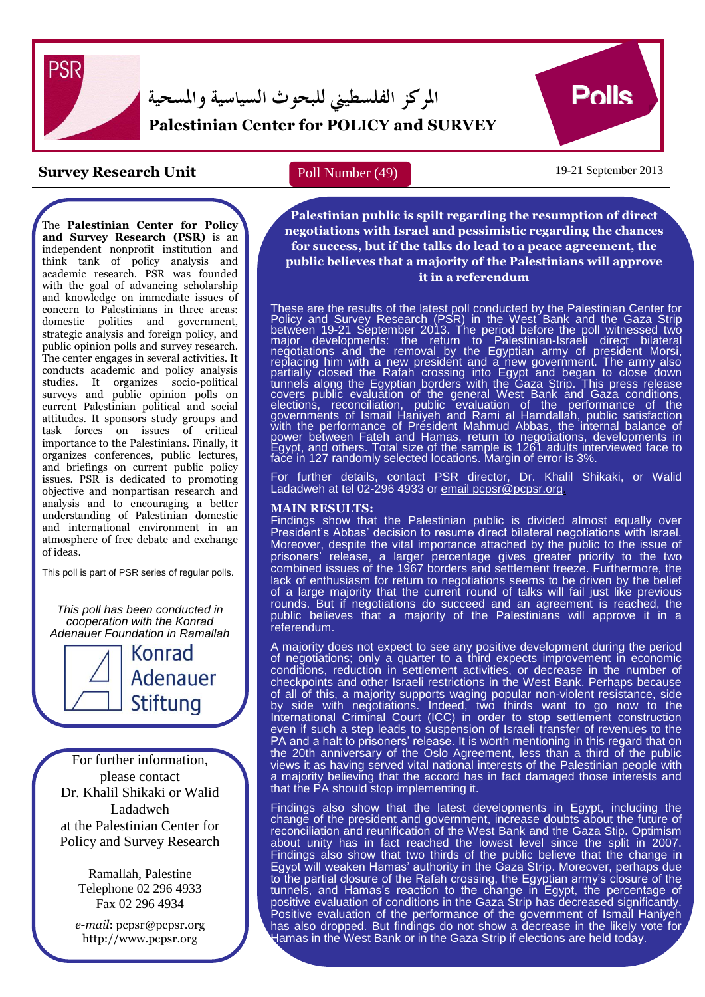

المركز الفلسطيني للبحوث السياسية والمسحية



# **Palestinian Center for POLICY and SURVEY**

# **Survey Research Unit** Poll Number (49) 19-21 September 2013

**RESEARCH**

Poll Number (49)

The **Palestinian Center for Policy and Survey Research (PSR)** is an independent nonprofit institution and think tank of policy analysis and academic research. PSR was founded with the goal of advancing scholarship and knowledge on immediate issues of concern to Palestinians in three areas: domestic politics and government, strategic analysis and foreign policy, and public opinion polls and survey research. The center engages in several activities. It conducts academic and policy analysis studies. It organizes socio-political surveys and public opinion polls on current Palestinian political and social attitudes. It sponsors study groups and task forces on issues of critical importance to the Palestinians. Finally, it organizes conferences, public lectures, and briefings on current public policy issues. PSR is dedicated to promoting objective and nonpartisan research and analysis and to encouraging a better understanding of Palestinian domestic and international environment in an atmosphere of free debate and exchange of ideas.

This poll is part of PSR series of regular polls.

I

*This poll has been conducted in cooperation with the Konrad Adenauer Foundation in Ramallah*

> Konrad Adenauer **Stiftung**

For further information, please contact Dr. Khalil Shikaki or Walid Ladadweh at the Palestinian Center for Policy and Survey Research

> Ramallah, Palestine Telephone 02 296 4933 Fax 02 296 4934

*e-mail*: pcpsr@pcpsr.org http://www.pcpsr.org

**Palestinian public is spilt regarding the resumption of direct negotiations with Israel and pessimistic regarding the chances for success, but if the talks do lead to a peace agreement, the public believes that a majority of the Palestinians will approve it in a referendum**

These are the results of the latest poll conducted by the Palestinian Center for Policy and Survey Research (PSR) in the West Bank and the Gaza Strip between 19-21 September 2013. The period before the poll witnessed two major developments: the return to Palestinian-Israeli direct bilateral negotiations and the removal by the Egyptian army of president Morsi, replacing him with a new president and a new government. The army also partially closed the Rafah crossing into Egypt and began to close down tunnels along the Egyptian borders with the Gaza Strip. This press release covers public evaluation of the general West Bank and Gaza conditions, elections, reconciliation, public evaluation of the performance of the governments of Ismail Haniyeh and Rami al Hamdallah, public satisfaction with the performance of President Mahmud Abbas, the internal balance of power between Fateh and Hamas, return to negotiations, developments in Egypt, and others. Total size of the sample is 1261 adults interviewed face to face in 127 randomly selected locations. Margin of error is 3%.

For further details, contact PSR director, Dr. Khalil Shikaki, or Walid Ladadweh at tel 02-296 4933 or email [pcpsr@pcpsr.org](mailto:pcpsr@pcpsr.org).

#### **MAIN RESULTS:**

Findings show that the Palestinian public is divided almost equally over President's Abbas' decision to resume direct bilateral negotiations with Israel. Moreover, despite the vital importance attached by the public to the issue of prisoners' release, a larger percentage gives greater priority to the two combined issues of the 1967 borders and settlement freeze. Furthermore, the lack of enthusiasm for return to negotiations seems to be driven by the belief of a large majority that the current round of talks will fail just like previous rounds. But if negotiations do succeed and an agreement is reached, the public believes that a majority of the Palestinians will approve it in a referendum.

A majority does not expect to see any positive development during the period of negotiations; only a quarter to a third expects improvement in economic conditions, reduction in settlement activities, or decrease in the number of checkpoints and other Israeli restrictions in the West Bank. Perhaps because of all of this, a majority supports waging popular non-violent resistance, side by side with negotiations. Indeed, two thirds want to go now to the International Criminal Court (ICC) in order to stop settlement construction even if such a step leads to suspension of Israeli transfer of revenues to the PA and a halt to prisoners' release. It is worth mentioning in this regard that on the 20th anniversary of the Oslo Agreement, less than a third of the public views it as having served vital national interests of the Palestinian people with a majority believing that the accord has in fact damaged those interests and that the PA should stop implementing it.

Findings also show that the latest developments in Egypt, including the change of the president and government, increase doubts about the future of reconciliation and reunification of the West Bank and the Gaza Stip. Optimism about unity has in fact reached the lowest level since the split in 2007. Findings also show that two thirds of the public believe that the change in Egypt will weaken Hamas' authority in the Gaza Strip. Moreover, perhaps due to the partial closure of the Rafah crossing, the Egyptian army's closure of the tunnels, and Hamas's reaction to the change in Egypt, the percentage of positive evaluation of conditions in the Gaza Strip has decreased significantly. Positive evaluation of the performance of the government of Ismail Haniyeh has also dropped. But findings do not show a decrease in the likely vote for Hamas in the West Bank or in the Gaza Strip if elections are held today.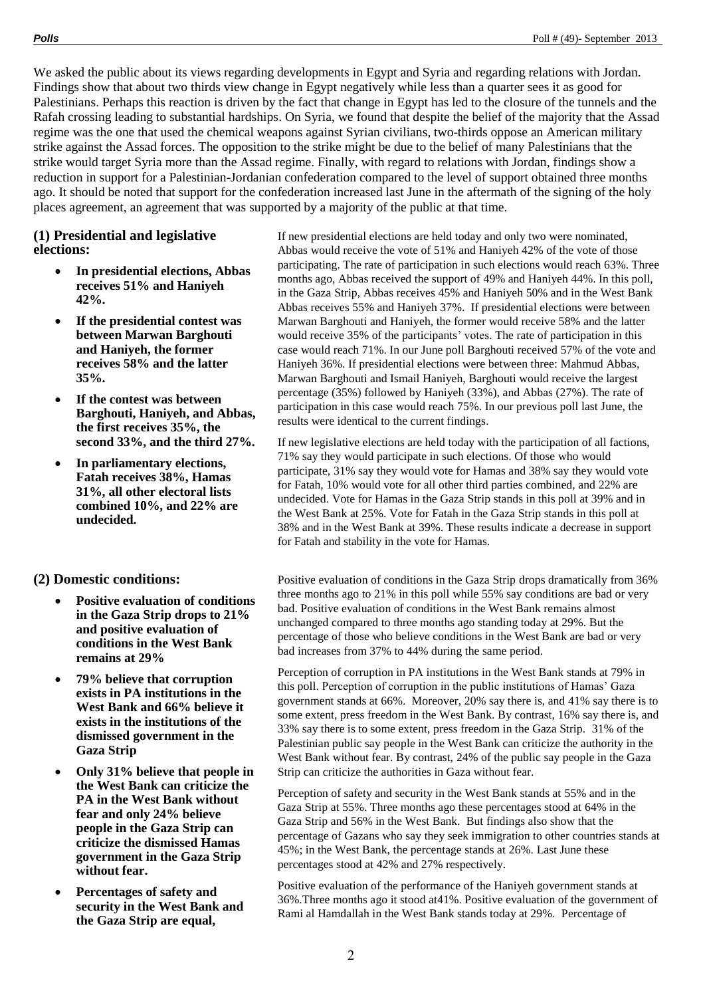We asked the public about its views regarding developments in Egypt and Syria and regarding relations with Jordan. Findings show that about two thirds view change in Egypt negatively while less than a quarter sees it as good for Palestinians. Perhaps this reaction is driven by the fact that change in Egypt has led to the closure of the tunnels and the Rafah crossing leading to substantial hardships. On Syria, we found that despite the belief of the majority that the Assad regime was the one that used the chemical weapons against Syrian civilians, two-thirds oppose an American military strike against the Assad forces. The opposition to the strike might be due to the belief of many Palestinians that the strike would target Syria more than the Assad regime. Finally, with regard to relations with Jordan, findings show a reduction in support for a Palestinian-Jordanian confederation compared to the level of support obtained three months ago. It should be noted that support for the confederation increased last June in the aftermath of the signing of the holy places agreement, an agreement that was supported by a majority of the public at that time.

### **(1) Presidential and legislative elections:**

- **In presidential elections, Abbas receives 51% and Haniyeh 42%.**
- **If the presidential contest was between Marwan Barghouti and Haniyeh, the former receives 58% and the latter 35%.**
- **If the contest was between Barghouti, Haniyeh, and Abbas, the first receives 35%, the second 33%, and the third 27%.**
- **In parliamentary elections, Fatah receives 38%, Hamas 31%, all other electoral lists combined 10%, and 22% are undecided.**

## **(2) Domestic conditions:**

- **Positive evaluation of conditions in the Gaza Strip drops to 21% and positive evaluation of conditions in the West Bank remains at 29%**
- **79% believe that corruption exists in PA institutions in the West Bank and 66% believe it exists in the institutions of the dismissed government in the Gaza Strip**
- **Only 31% believe that people in the West Bank can criticize the PA in the West Bank without fear and only 24% believe people in the Gaza Strip can criticize the dismissed Hamas government in the Gaza Strip without fear.**
- **Percentages of safety and security in the West Bank and the Gaza Strip are equal,**

If new presidential elections are held today and only two were nominated, Abbas would receive the vote of 51% and Haniyeh 42% of the vote of those participating. The rate of participation in such elections would reach 63%. Three months ago, Abbas received the support of 49% and Haniyeh 44%. In this poll, in the Gaza Strip, Abbas receives 45% and Haniyeh 50% and in the West Bank Abbas receives 55% and Haniyeh 37%. If presidential elections were between Marwan Barghouti and Haniyeh, the former would receive 58% and the latter would receive 35% of the participants' votes. The rate of participation in this case would reach 71%. In our June poll Barghouti received 57% of the vote and Haniyeh 36%. If presidential elections were between three: Mahmud Abbas, Marwan Barghouti and Ismail Haniyeh, Barghouti would receive the largest percentage (35%) followed by Haniyeh (33%), and Abbas (27%). The rate of participation in this case would reach 75%. In our previous poll last June, the results were identical to the current findings.

If new legislative elections are held today with the participation of all factions, 71% say they would participate in such elections. Of those who would participate, 31% say they would vote for Hamas and 38% say they would vote for Fatah, 10% would vote for all other third parties combined, and 22% are undecided. Vote for Hamas in the Gaza Strip stands in this poll at 39% and in the West Bank at 25%. Vote for Fatah in the Gaza Strip stands in this poll at 38% and in the West Bank at 39%. These results indicate a decrease in support for Fatah and stability in the vote for Hamas.

Positive evaluation of conditions in the Gaza Strip drops dramatically from 36% three months ago to 21% in this poll while 55% say conditions are bad or very bad. Positive evaluation of conditions in the West Bank remains almost unchanged compared to three months ago standing today at 29%. But the percentage of those who believe conditions in the West Bank are bad or very bad increases from 37% to 44% during the same period.

Perception of corruption in PA institutions in the West Bank stands at 79% in this poll. Perception of corruption in the public institutions of Hamas' Gaza government stands at 66%. Moreover, 20% say there is, and 41% say there is to some extent, press freedom in the West Bank. By contrast, 16% say there is, and 33% say there is to some extent, press freedom in the Gaza Strip. 31% of the Palestinian public say people in the West Bank can criticize the authority in the West Bank without fear. By contrast, 24% of the public say people in the Gaza Strip can criticize the authorities in Gaza without fear.

Perception of safety and security in the West Bank stands at 55% and in the Gaza Strip at 55%. Three months ago these percentages stood at 64% in the Gaza Strip and 56% in the West Bank. But findings also show that the percentage of Gazans who say they seek immigration to other countries stands at 45%; in the West Bank, the percentage stands at 26%. Last June these percentages stood at 42% and 27% respectively.

Positive evaluation of the performance of the Haniyeh government stands at 36%.Three months ago it stood at41%. Positive evaluation of the government of Rami al Hamdallah in the West Bank stands today at 29%. Percentage of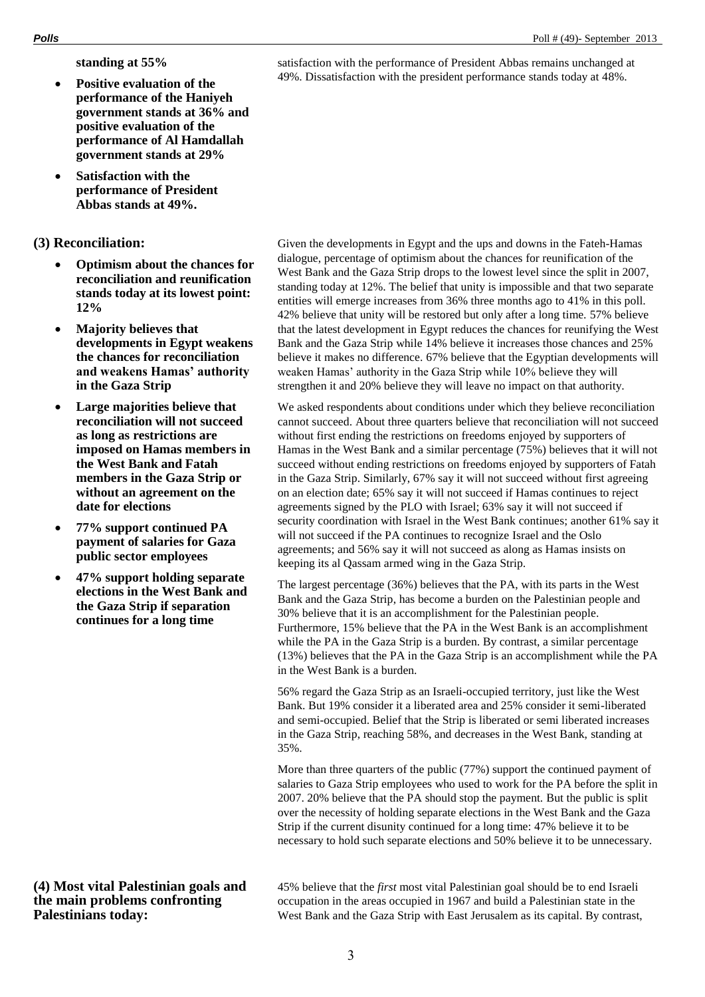**standing at 55%**

- **Positive evaluation of the performance of the Haniyeh government stands at 36% and positive evaluation of the performance of Al Hamdallah government stands at 29%**
- **Satisfaction with the performance of President Abbas stands at 49%.**

#### **(3) Reconciliation:**

- **Optimism about the chances for reconciliation and reunification stands today at its lowest point: 12%**
- **Majority believes that developments in Egypt weakens the chances for reconciliation and weakens Hamas' authority in the Gaza Strip**
- **Large majorities believe that reconciliation will not succeed as long as restrictions are imposed on Hamas members in the West Bank and Fatah members in the Gaza Strip or without an agreement on the date for elections**
- **77% support continued PA payment of salaries for Gaza public sector employees**
- **47% support holding separate elections in the West Bank and the Gaza Strip if separation continues for a long time**

**(4) Most vital Palestinian goals and the main problems confronting Palestinians today:** 

satisfaction with the performance of President Abbas remains unchanged at 49%. Dissatisfaction with the president performance stands today at 48%.

Given the developments in Egypt and the ups and downs in the Fateh-Hamas dialogue, percentage of optimism about the chances for reunification of the West Bank and the Gaza Strip drops to the lowest level since the split in 2007, standing today at 12%. The belief that unity is impossible and that two separate entities will emerge increases from 36% three months ago to 41% in this poll. 42% believe that unity will be restored but only after a long time. 57% believe that the latest development in Egypt reduces the chances for reunifying the West Bank and the Gaza Strip while 14% believe it increases those chances and 25% believe it makes no difference. 67% believe that the Egyptian developments will weaken Hamas' authority in the Gaza Strip while 10% believe they will strengthen it and 20% believe they will leave no impact on that authority.

We asked respondents about conditions under which they believe reconciliation cannot succeed. About three quarters believe that reconciliation will not succeed without first ending the restrictions on freedoms enjoyed by supporters of Hamas in the West Bank and a similar percentage (75%) believes that it will not succeed without ending restrictions on freedoms enjoyed by supporters of Fatah in the Gaza Strip. Similarly, 67% say it will not succeed without first agreeing on an election date; 65% say it will not succeed if Hamas continues to reject agreements signed by the PLO with Israel; 63% say it will not succeed if security coordination with Israel in the West Bank continues; another 61% say it will not succeed if the PA continues to recognize Israel and the Oslo agreements; and 56% say it will not succeed as along as Hamas insists on keeping its al Qassam armed wing in the Gaza Strip.

The largest percentage (36%) believes that the PA, with its parts in the West Bank and the Gaza Strip, has become a burden on the Palestinian people and 30% believe that it is an accomplishment for the Palestinian people. Furthermore, 15% believe that the PA in the West Bank is an accomplishment while the PA in the Gaza Strip is a burden. By contrast, a similar percentage (13%) believes that the PA in the Gaza Strip is an accomplishment while the PA in the West Bank is a burden.

56% regard the Gaza Strip as an Israeli-occupied territory, just like the West Bank. But 19% consider it a liberated area and 25% consider it semi-liberated and semi-occupied. Belief that the Strip is liberated or semi liberated increases in the Gaza Strip, reaching 58%, and decreases in the West Bank, standing at 35%.

More than three quarters of the public (77%) support the continued payment of salaries to Gaza Strip employees who used to work for the PA before the split in 2007. 20% believe that the PA should stop the payment. But the public is split over the necessity of holding separate elections in the West Bank and the Gaza Strip if the current disunity continued for a long time: 47% believe it to be necessary to hold such separate elections and 50% believe it to be unnecessary.

45% believe that the *first* most vital Palestinian goal should be to end Israeli occupation in the areas occupied in 1967 and build a Palestinian state in the West Bank and the Gaza Strip with East Jerusalem as its capital. By contrast,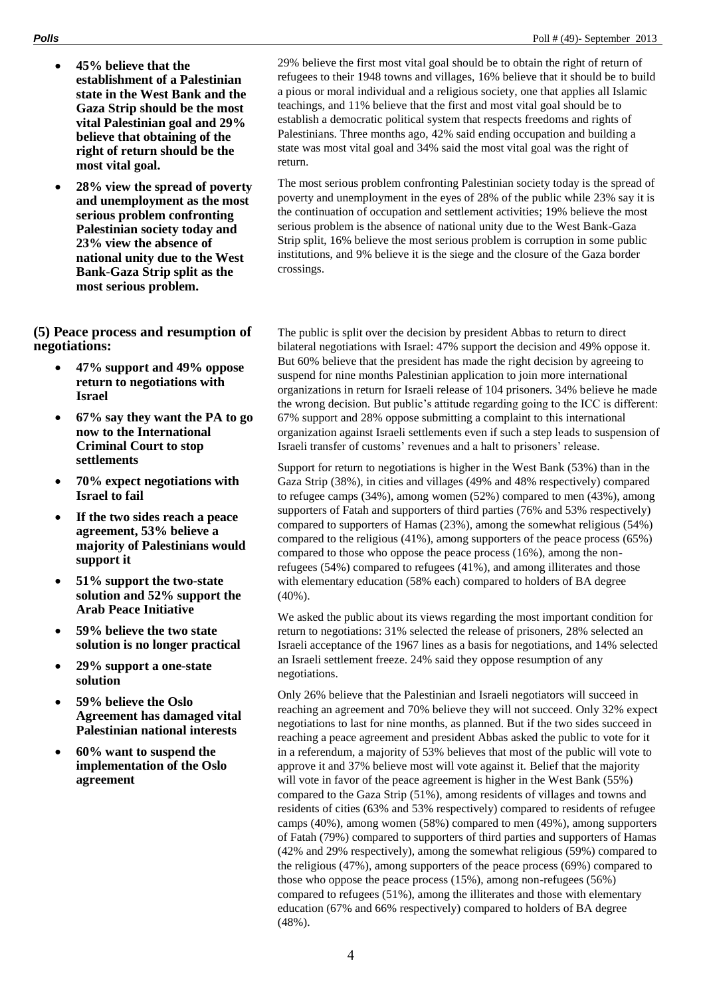- **45% believe that the establishment of a Palestinian state in the West Bank and the Gaza Strip should be the most vital Palestinian goal and 29% believe that obtaining of the right of return should be the most vital goal.**
- **28% view the spread of poverty and unemployment as the most serious problem confronting Palestinian society today and 23% view the absence of national unity due to the West Bank-Gaza Strip split as the most serious problem.**

**(5) Peace process and resumption of negotiations:** 

- **47% support and 49% oppose return to negotiations with Israel**
- **67% say they want the PA to go now to the International Criminal Court to stop settlements**
- **70% expect negotiations with Israel to fail**
- **If the two sides reach a peace agreement, 53% believe a majority of Palestinians would support it**
- **51% support the two-state solution and 52% support the Arab Peace Initiative**
- **59% believe the two state solution is no longer practical**
- **29% support a one-state solution**
- **59% believe the Oslo Agreement has damaged vital Palestinian national interests**
- **60% want to suspend the implementation of the Oslo agreement**

29% believe the first most vital goal should be to obtain the right of return of refugees to their 1948 towns and villages, 16% believe that it should be to build a pious or moral individual and a religious society, one that applies all Islamic teachings, and 11% believe that the first and most vital goal should be to establish a democratic political system that respects freedoms and rights of Palestinians. Three months ago, 42% said ending occupation and building a state was most vital goal and 34% said the most vital goal was the right of return.

The most serious problem confronting Palestinian society today is the spread of poverty and unemployment in the eyes of 28% of the public while 23% say it is the continuation of occupation and settlement activities; 19% believe the most serious problem is the absence of national unity due to the West Bank-Gaza Strip split, 16% believe the most serious problem is corruption in some public institutions, and 9% believe it is the siege and the closure of the Gaza border crossings.

The public is split over the decision by president Abbas to return to direct bilateral negotiations with Israel: 47% support the decision and 49% oppose it. But 60% believe that the president has made the right decision by agreeing to suspend for nine months Palestinian application to join more international organizations in return for Israeli release of 104 prisoners. 34% believe he made the wrong decision. But public's attitude regarding going to the ICC is different: 67% support and 28% oppose submitting a complaint to this international organization against Israeli settlements even if such a step leads to suspension of Israeli transfer of customs' revenues and a halt to prisoners' release.

Support for return to negotiations is higher in the West Bank (53%) than in the Gaza Strip (38%), in cities and villages (49% and 48% respectively) compared to refugee camps (34%), among women (52%) compared to men (43%), among supporters of Fatah and supporters of third parties (76% and 53% respectively) compared to supporters of Hamas (23%), among the somewhat religious (54%) compared to the religious (41%), among supporters of the peace process (65%) compared to those who oppose the peace process (16%), among the nonrefugees (54%) compared to refugees (41%), and among illiterates and those with elementary education (58% each) compared to holders of BA degree  $(40\%)$ .

We asked the public about its views regarding the most important condition for return to negotiations: 31% selected the release of prisoners, 28% selected an Israeli acceptance of the 1967 lines as a basis for negotiations, and 14% selected an Israeli settlement freeze. 24% said they oppose resumption of any negotiations.

Only 26% believe that the Palestinian and Israeli negotiators will succeed in reaching an agreement and 70% believe they will not succeed. Only 32% expect negotiations to last for nine months, as planned. But if the two sides succeed in reaching a peace agreement and president Abbas asked the public to vote for it in a referendum, a majority of 53% believes that most of the public will vote to approve it and 37% believe most will vote against it. Belief that the majority will vote in favor of the peace agreement is higher in the West Bank (55%) compared to the Gaza Strip (51%), among residents of villages and towns and residents of cities (63% and 53% respectively) compared to residents of refugee camps (40%), among women (58%) compared to men (49%), among supporters of Fatah (79%) compared to supporters of third parties and supporters of Hamas (42% and 29% respectively), among the somewhat religious (59%) compared to the religious (47%), among supporters of the peace process (69%) compared to those who oppose the peace process (15%), among non-refugees (56%) compared to refugees (51%), among the illiterates and those with elementary education (67% and 66% respectively) compared to holders of BA degree (48%).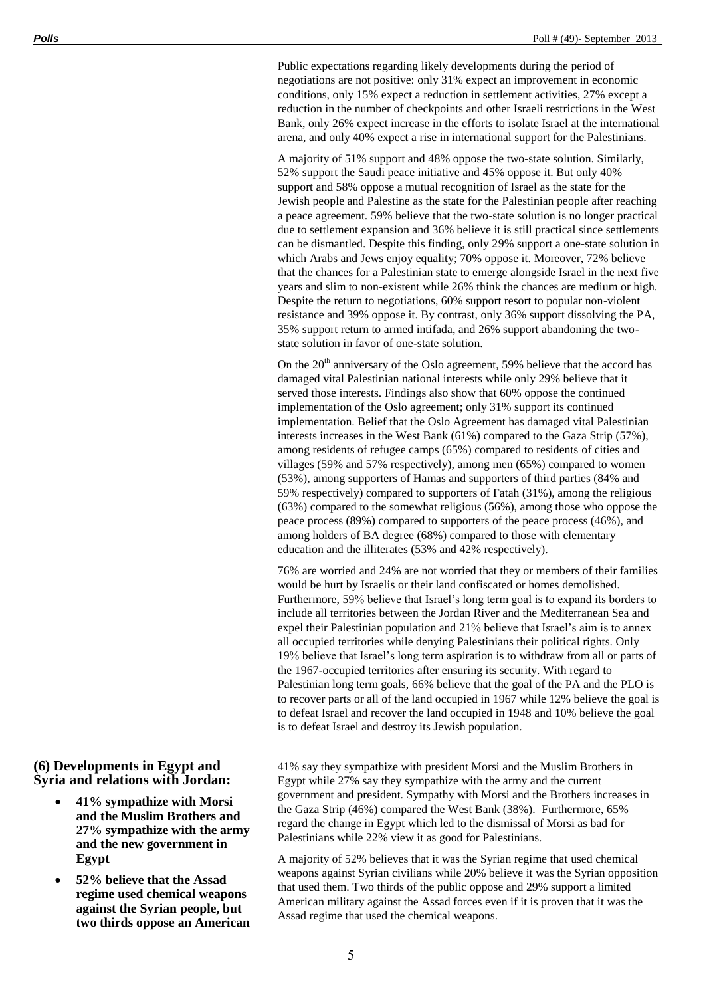Public expectations regarding likely developments during the period of negotiations are not positive: only 31% expect an improvement in economic conditions, only 15% expect a reduction in settlement activities, 27% except a reduction in the number of checkpoints and other Israeli restrictions in the West Bank, only 26% expect increase in the efforts to isolate Israel at the international arena, and only 40% expect a rise in international support for the Palestinians.

A majority of 51% support and 48% oppose the two-state solution. Similarly, 52% support the Saudi peace initiative and 45% oppose it. But only 40% support and 58% oppose a mutual recognition of Israel as the state for the Jewish people and Palestine as the state for the Palestinian people after reaching a peace agreement. 59% believe that the two-state solution is no longer practical due to settlement expansion and 36% believe it is still practical since settlements can be dismantled. Despite this finding, only 29% support a one-state solution in which Arabs and Jews enjoy equality; 70% oppose it. Moreover, 72% believe that the chances for a Palestinian state to emerge alongside Israel in the next five years and slim to non-existent while 26% think the chances are medium or high. Despite the return to negotiations, 60% support resort to popular non-violent resistance and 39% oppose it. By contrast, only 36% support dissolving the PA, 35% support return to armed intifada, and 26% support abandoning the twostate solution in favor of one-state solution.

On the  $20<sup>th</sup>$  anniversary of the Oslo agreement, 59% believe that the accord has damaged vital Palestinian national interests while only 29% believe that it served those interests. Findings also show that 60% oppose the continued implementation of the Oslo agreement; only 31% support its continued implementation. Belief that the Oslo Agreement has damaged vital Palestinian interests increases in the West Bank (61%) compared to the Gaza Strip (57%), among residents of refugee camps (65%) compared to residents of cities and villages (59% and 57% respectively), among men (65%) compared to women (53%), among supporters of Hamas and supporters of third parties (84% and 59% respectively) compared to supporters of Fatah (31%), among the religious (63%) compared to the somewhat religious (56%), among those who oppose the peace process (89%) compared to supporters of the peace process (46%), and among holders of BA degree (68%) compared to those with elementary education and the illiterates (53% and 42% respectively).

76% are worried and 24% are not worried that they or members of their families would be hurt by Israelis or their land confiscated or homes demolished. Furthermore, 59% believe that Israel's long term goal is to expand its borders to include all territories between the Jordan River and the Mediterranean Sea and expel their Palestinian population and 21% believe that Israel's aim is to annex all occupied territories while denying Palestinians their political rights. Only 19% believe that Israel's long term aspiration is to withdraw from all or parts of the 1967-occupied territories after ensuring its security. With regard to Palestinian long term goals, 66% believe that the goal of the PA and the PLO is to recover parts or all of the land occupied in 1967 while 12% believe the goal is to defeat Israel and recover the land occupied in 1948 and 10% believe the goal is to defeat Israel and destroy its Jewish population.

41% say they sympathize with president Morsi and the Muslim Brothers in Egypt while 27% say they sympathize with the army and the current government and president. Sympathy with Morsi and the Brothers increases in the Gaza Strip (46%) compared the West Bank (38%). Furthermore, 65% regard the change in Egypt which led to the dismissal of Morsi as bad for Palestinians while 22% view it as good for Palestinians.

A majority of 52% believes that it was the Syrian regime that used chemical weapons against Syrian civilians while 20% believe it was the Syrian opposition that used them. Two thirds of the public oppose and 29% support a limited American military against the Assad forces even if it is proven that it was the Assad regime that used the chemical weapons.

**(6) Developments in Egypt and Syria and relations with Jordan:** 

- **41% sympathize with Morsi and the Muslim Brothers and 27% sympathize with the army and the new government in Egypt**
- **52% believe that the Assad regime used chemical weapons against the Syrian people, but two thirds oppose an American**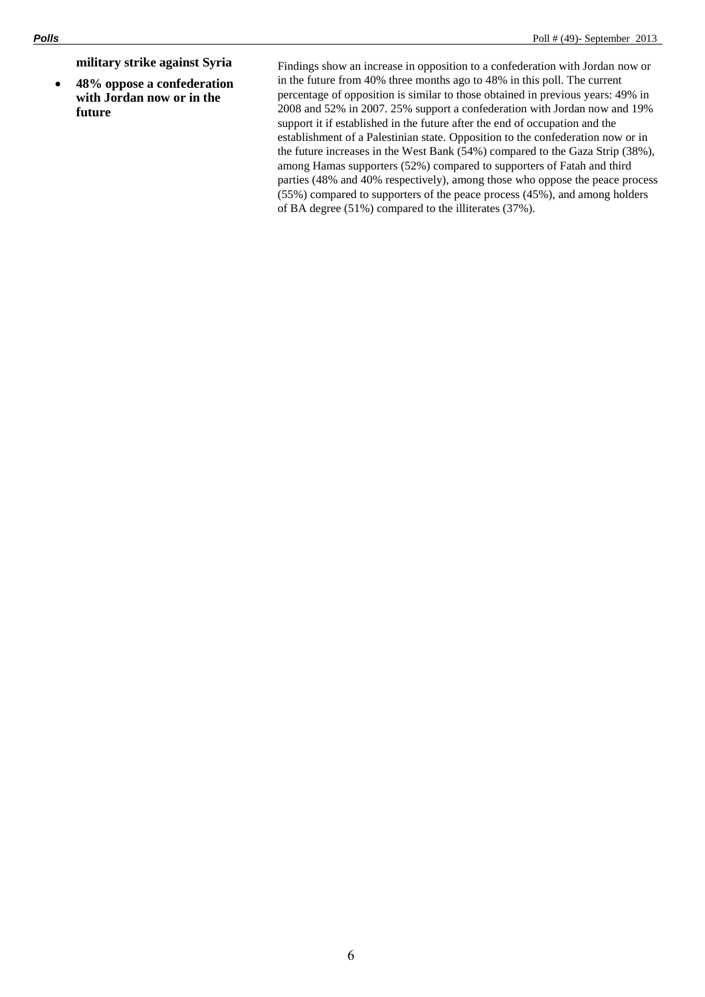**military strike against Syria**

 **48% oppose a confederation with Jordan now or in the future**

**Polls Poll #** (49)- September 2013

Findings show an increase in opposition to a confederation with Jordan now or in the future from 40% three months ago to 48% in this poll. The current percentage of opposition is similar to those obtained in previous years: 49% in 2008 and 52% in 2007. 25% support a confederation with Jordan now and 19% support it if established in the future after the end of occupation and the establishment of a Palestinian state. Opposition to the confederation now or in the future increases in the West Bank (54%) compared to the Gaza Strip (38%), among Hamas supporters (52%) compared to supporters of Fatah and third parties (48% and 40% respectively), among those who oppose the peace process (55%) compared to supporters of the peace process (45%), and among holders of BA degree (51%) compared to the illiterates (37%).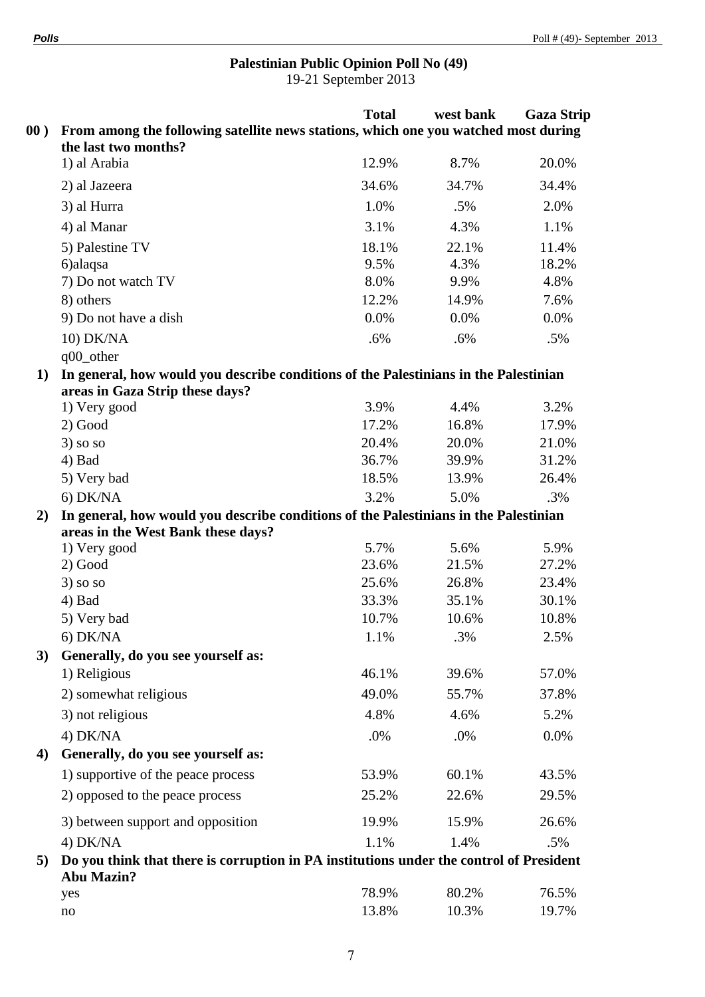# **Palestinian Public Opinion Poll No (49)** 19-21 September 2013

|                  |                                                                                         | <b>Total</b> | west bank | <b>Gaza Strip</b> |  |  |  |
|------------------|-----------------------------------------------------------------------------------------|--------------|-----------|-------------------|--|--|--|
| 00)              | From among the following satellite news stations, which one you watched most during     |              |           |                   |  |  |  |
|                  | the last two months?                                                                    |              |           |                   |  |  |  |
|                  | 1) al Arabia                                                                            | 12.9%        | 8.7%      | 20.0%             |  |  |  |
|                  | 2) al Jazeera                                                                           | 34.6%        | 34.7%     | 34.4%             |  |  |  |
|                  | 3) al Hurra                                                                             | 1.0%         | .5%       | 2.0%              |  |  |  |
|                  | 4) al Manar                                                                             | 3.1%         | 4.3%      | 1.1%              |  |  |  |
|                  | 5) Palestine TV                                                                         | 18.1%        | 22.1%     | 11.4%             |  |  |  |
|                  | 6)alaqsa                                                                                | 9.5%         | 4.3%      | 18.2%             |  |  |  |
|                  | 7) Do not watch TV                                                                      | 8.0%         | 9.9%      | 4.8%              |  |  |  |
|                  | 8) others                                                                               | 12.2%        | 14.9%     | 7.6%              |  |  |  |
|                  | 9) Do not have a dish                                                                   | 0.0%         | 0.0%      | 0.0%              |  |  |  |
|                  | 10) DK/NA                                                                               | .6%          | .6%       | .5%               |  |  |  |
|                  | q00_other                                                                               |              |           |                   |  |  |  |
| 1)               | In general, how would you describe conditions of the Palestinians in the Palestinian    |              |           |                   |  |  |  |
|                  | areas in Gaza Strip these days?                                                         |              |           |                   |  |  |  |
|                  | 1) Very good                                                                            | 3.9%         | 4.4%      | 3.2%              |  |  |  |
|                  | $2)$ Good                                                                               | 17.2%        | 16.8%     | 17.9%             |  |  |  |
|                  | $3)$ so so                                                                              | 20.4%        | 20.0%     | 21.0%             |  |  |  |
|                  | 4) Bad                                                                                  | 36.7%        | 39.9%     | 31.2%             |  |  |  |
|                  | 5) Very bad                                                                             | 18.5%        | 13.9%     | 26.4%             |  |  |  |
|                  | $6)$ DK/NA                                                                              | 3.2%         | 5.0%      | .3%               |  |  |  |
| 2)               | In general, how would you describe conditions of the Palestinians in the Palestinian    |              |           |                   |  |  |  |
|                  | areas in the West Bank these days?<br>1) Very good                                      | 5.7%         | 5.6%      | 5.9%              |  |  |  |
|                  | $2)$ Good                                                                               | 23.6%        | 21.5%     | 27.2%             |  |  |  |
|                  | $3)$ so so                                                                              | 25.6%        | 26.8%     | 23.4%             |  |  |  |
|                  | 4) Bad                                                                                  | 33.3%        | 35.1%     | 30.1%             |  |  |  |
|                  | 5) Very bad                                                                             | 10.7%        | 10.6%     | 10.8%             |  |  |  |
|                  | $6)$ DK/NA                                                                              | 1.1%         | .3%       | 2.5%              |  |  |  |
| 3)               | Generally, do you see yourself as:                                                      |              |           |                   |  |  |  |
|                  | 1) Religious                                                                            | 46.1%        | 39.6%     | 57.0%             |  |  |  |
|                  | 2) somewhat religious                                                                   | 49.0%        | 55.7%     | 37.8%             |  |  |  |
|                  | 3) not religious                                                                        | 4.8%         | 4.6%      | 5.2%              |  |  |  |
|                  | $4)$ DK/NA                                                                              | .0%          | .0%       | 0.0%              |  |  |  |
| $\boldsymbol{4}$ | Generally, do you see yourself as:                                                      |              |           |                   |  |  |  |
|                  | 1) supportive of the peace process                                                      | 53.9%        | 60.1%     | 43.5%             |  |  |  |
|                  |                                                                                         |              |           |                   |  |  |  |
|                  | 2) opposed to the peace process                                                         | 25.2%        | 22.6%     | 29.5%             |  |  |  |
|                  | 3) between support and opposition                                                       | 19.9%        | 15.9%     | 26.6%             |  |  |  |
|                  | 4) DK/NA                                                                                | 1.1%         | 1.4%      | .5%               |  |  |  |
| 5)               | Do you think that there is corruption in PA institutions under the control of President |              |           |                   |  |  |  |
|                  | <b>Abu Mazin?</b>                                                                       |              |           |                   |  |  |  |
|                  | yes                                                                                     | 78.9%        | 80.2%     | 76.5%             |  |  |  |
|                  | no                                                                                      | 13.8%        | 10.3%     | 19.7%             |  |  |  |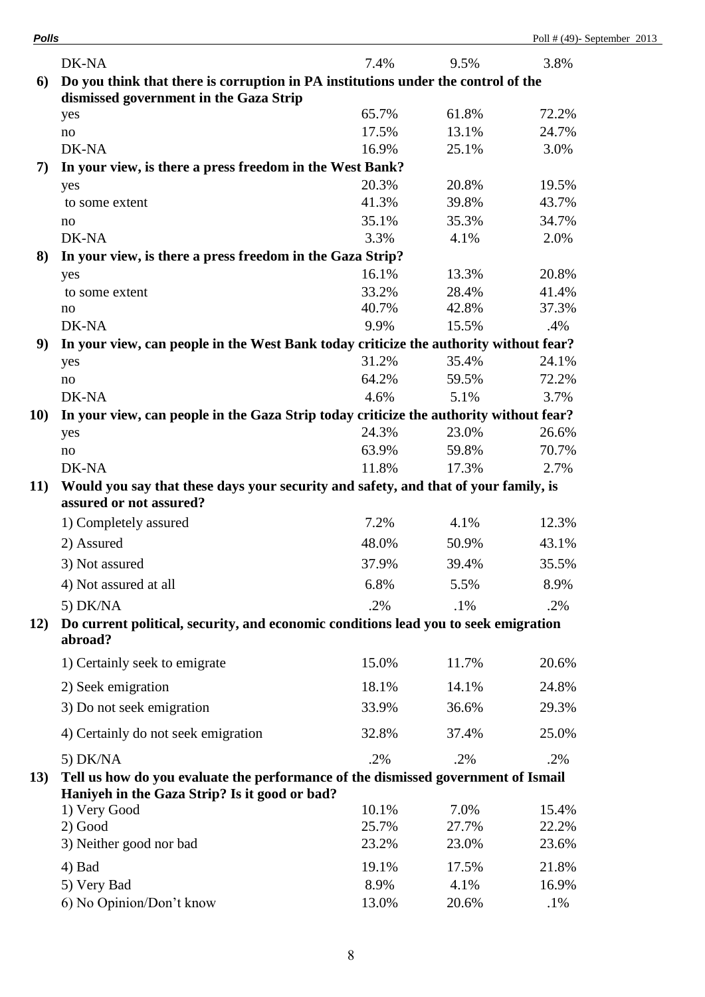|     | DK-NA                                                                                                                              | 7.4%          | 9.5%          | 3.8%           |  |  |  |
|-----|------------------------------------------------------------------------------------------------------------------------------------|---------------|---------------|----------------|--|--|--|
| 6   | Do you think that there is corruption in PA institutions under the control of the                                                  |               |               |                |  |  |  |
|     | dismissed government in the Gaza Strip                                                                                             |               |               |                |  |  |  |
|     | yes                                                                                                                                | 65.7%         | 61.8%         | 72.2%          |  |  |  |
|     | no                                                                                                                                 | 17.5%         | 13.1%         | 24.7%          |  |  |  |
|     | DK-NA                                                                                                                              | 16.9%         | 25.1%         | 3.0%           |  |  |  |
| 7)  | In your view, is there a press freedom in the West Bank?                                                                           |               |               |                |  |  |  |
|     | yes                                                                                                                                | 20.3%         | 20.8%         | 19.5%<br>43.7% |  |  |  |
|     | to some extent                                                                                                                     | 41.3%         | 39.8%         |                |  |  |  |
|     | no<br>DK-NA                                                                                                                        | 35.1%<br>3.3% | 35.3%<br>4.1% | 34.7%<br>2.0%  |  |  |  |
| 8)  | In your view, is there a press freedom in the Gaza Strip?                                                                          |               |               |                |  |  |  |
|     | yes                                                                                                                                | 16.1%         | 13.3%         | 20.8%          |  |  |  |
|     | to some extent                                                                                                                     | 33.2%         | 28.4%         | 41.4%          |  |  |  |
|     | no                                                                                                                                 | 40.7%         | 42.8%         | 37.3%          |  |  |  |
|     | DK-NA                                                                                                                              | 9.9%          | 15.5%         | .4%            |  |  |  |
| 9)  | In your view, can people in the West Bank today criticize the authority without fear?                                              |               |               |                |  |  |  |
|     | yes                                                                                                                                | 31.2%         | 35.4%         | 24.1%          |  |  |  |
|     | no                                                                                                                                 | 64.2%         | 59.5%         | 72.2%          |  |  |  |
|     | DK-NA                                                                                                                              | 4.6%          | 5.1%          | 3.7%           |  |  |  |
| 10) | In your view, can people in the Gaza Strip today criticize the authority without fear?                                             |               |               |                |  |  |  |
|     | yes                                                                                                                                | 24.3%         | 23.0%         | 26.6%          |  |  |  |
|     | no                                                                                                                                 | 63.9%         | 59.8%         | 70.7%          |  |  |  |
|     | DK-NA                                                                                                                              | 11.8%         | 17.3%         | 2.7%           |  |  |  |
| 11) | Would you say that these days your security and safety, and that of your family, is<br>assured or not assured?                     |               |               |                |  |  |  |
|     | 1) Completely assured                                                                                                              | 7.2%          | 4.1%          | 12.3%          |  |  |  |
|     | 2) Assured                                                                                                                         | 48.0%         | 50.9%         | 43.1%          |  |  |  |
|     | 3) Not assured                                                                                                                     | 37.9%         | 39.4%         | 35.5%          |  |  |  |
|     | 4) Not assured at all                                                                                                              | 6.8%          | 5.5%          | 8.9%           |  |  |  |
|     | 5) DK/NA                                                                                                                           | .2%           | .1%           | .2%            |  |  |  |
| 12) | Do current political, security, and economic conditions lead you to seek emigration<br>abroad?                                     |               |               |                |  |  |  |
|     | 1) Certainly seek to emigrate                                                                                                      | 15.0%         | 11.7%         | 20.6%          |  |  |  |
|     | 2) Seek emigration                                                                                                                 | 18.1%         | 14.1%         | 24.8%          |  |  |  |
|     | 3) Do not seek emigration                                                                                                          | 33.9%         | 36.6%         | 29.3%          |  |  |  |
|     | 4) Certainly do not seek emigration                                                                                                | 32.8%         | 37.4%         | 25.0%          |  |  |  |
|     | 5) DK/NA                                                                                                                           | .2%           | .2%           | $.2\%$         |  |  |  |
| 13) | Tell us how do you evaluate the performance of the dismissed government of Ismail<br>Haniyeh in the Gaza Strip? Is it good or bad? |               |               |                |  |  |  |
|     | 1) Very Good                                                                                                                       | 10.1%         | 7.0%          | 15.4%          |  |  |  |
|     | $2)$ Good                                                                                                                          | 25.7%         | 27.7%         | 22.2%          |  |  |  |
|     | 3) Neither good nor bad                                                                                                            | 23.2%         | 23.0%         | 23.6%          |  |  |  |
|     | 4) Bad                                                                                                                             | 19.1%         | 17.5%         | 21.8%          |  |  |  |
|     | 5) Very Bad                                                                                                                        | 8.9%          | 4.1%          | 16.9%          |  |  |  |
|     | 6) No Opinion/Don't know                                                                                                           | 13.0%         | 20.6%         | $.1\%$         |  |  |  |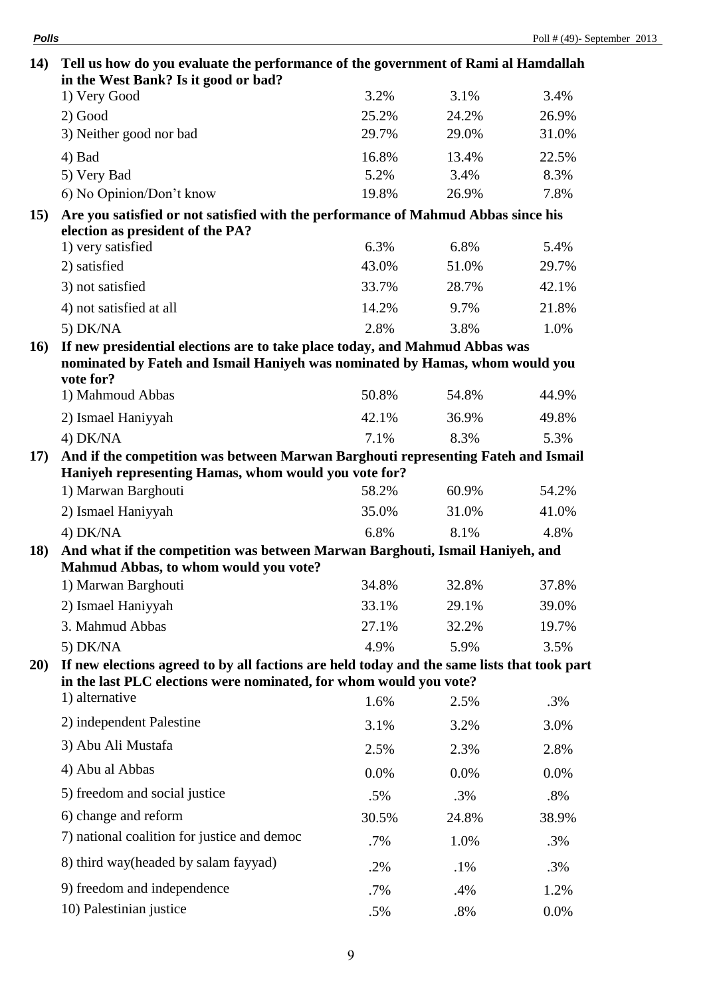| 14)         | Tell us how do you evaluate the performance of the government of Rami al Hamdallah                                     |       |       |        |  |  |
|-------------|------------------------------------------------------------------------------------------------------------------------|-------|-------|--------|--|--|
|             | in the West Bank? Is it good or bad?<br>1) Very Good                                                                   | 3.2%  | 3.1%  | 3.4%   |  |  |
|             | $2)$ Good                                                                                                              | 25.2% | 24.2% | 26.9%  |  |  |
|             | 3) Neither good nor bad                                                                                                | 29.7% | 29.0% | 31.0%  |  |  |
|             | 4) Bad                                                                                                                 | 16.8% | 13.4% | 22.5%  |  |  |
|             | 5) Very Bad                                                                                                            | 5.2%  | 3.4%  | 8.3%   |  |  |
|             | 6) No Opinion/Don't know                                                                                               | 19.8% | 26.9% | 7.8%   |  |  |
| 15)         | Are you satisfied or not satisfied with the performance of Mahmud Abbas since his<br>election as president of the PA?  |       |       |        |  |  |
|             | 1) very satisfied                                                                                                      | 6.3%  | 6.8%  | 5.4%   |  |  |
|             | 2) satisfied                                                                                                           | 43.0% | 51.0% | 29.7%  |  |  |
|             | 3) not satisfied                                                                                                       | 33.7% | 28.7% | 42.1%  |  |  |
|             | 4) not satisfied at all                                                                                                | 14.2% | 9.7%  | 21.8%  |  |  |
|             | $5)$ DK/NA                                                                                                             | 2.8%  | 3.8%  | 1.0%   |  |  |
| <b>16</b> ) | If new presidential elections are to take place today, and Mahmud Abbas was                                            |       |       |        |  |  |
|             | nominated by Fateh and Ismail Haniyeh was nominated by Hamas, whom would you<br>vote for?                              |       |       |        |  |  |
|             | 1) Mahmoud Abbas                                                                                                       | 50.8% | 54.8% | 44.9%  |  |  |
|             | 2) Ismael Haniyyah                                                                                                     | 42.1% | 36.9% | 49.8%  |  |  |
|             | 4) DK/NA                                                                                                               | 7.1%  | 8.3%  | 5.3%   |  |  |
| 17)         | And if the competition was between Marwan Barghouti representing Fateh and Ismail                                      |       |       |        |  |  |
|             | Haniyeh representing Hamas, whom would you vote for?                                                                   |       |       |        |  |  |
|             | 1) Marwan Barghouti                                                                                                    | 58.2% | 60.9% | 54.2%  |  |  |
|             | 2) Ismael Haniyyah                                                                                                     | 35.0% | 31.0% | 41.0%  |  |  |
|             | 4) DK/NA                                                                                                               | 6.8%  | 8.1%  | 4.8%   |  |  |
| <b>18</b> ) | And what if the competition was between Marwan Barghouti, Ismail Haniyeh, and<br>Mahmud Abbas, to whom would you vote? |       |       |        |  |  |
|             | 1) Marwan Barghouti                                                                                                    | 34.8% | 32.8% | 37.8%  |  |  |
|             | 2) Ismael Haniyyah                                                                                                     | 33.1% | 29.1% | 39.0%  |  |  |
|             | 3. Mahmud Abbas                                                                                                        | 27.1% | 32.2% | 19.7%  |  |  |
|             | 5) DK/NA                                                                                                               | 4.9%  | 5.9%  | 3.5%   |  |  |
| <b>20</b> ) | If new elections agreed to by all factions are held today and the same lists that took part                            |       |       |        |  |  |
|             | in the last PLC elections were nominated, for whom would you vote?                                                     |       |       |        |  |  |
|             | 1) alternative                                                                                                         | 1.6%  | 2.5%  | .3%    |  |  |
|             | 2) independent Palestine                                                                                               | 3.1%  | 3.2%  | 3.0%   |  |  |
|             | 3) Abu Ali Mustafa                                                                                                     | 2.5%  | 2.3%  | 2.8%   |  |  |
|             | 4) Abu al Abbas                                                                                                        | 0.0%  | 0.0%  | 0.0%   |  |  |
|             | 5) freedom and social justice                                                                                          | .5%   | .3%   | $.8\%$ |  |  |
|             | 6) change and reform                                                                                                   | 30.5% | 24.8% | 38.9%  |  |  |
|             | 7) national coalition for justice and democ                                                                            | .7%   | 1.0%  | .3%    |  |  |
|             | 8) third way(headed by salam fayyad)                                                                                   | .2%   | .1%   | .3%    |  |  |
|             | 9) freedom and independence                                                                                            | .7%   | .4%   | 1.2%   |  |  |
|             | 10) Palestinian justice                                                                                                | .5%   | .8%   | 0.0%   |  |  |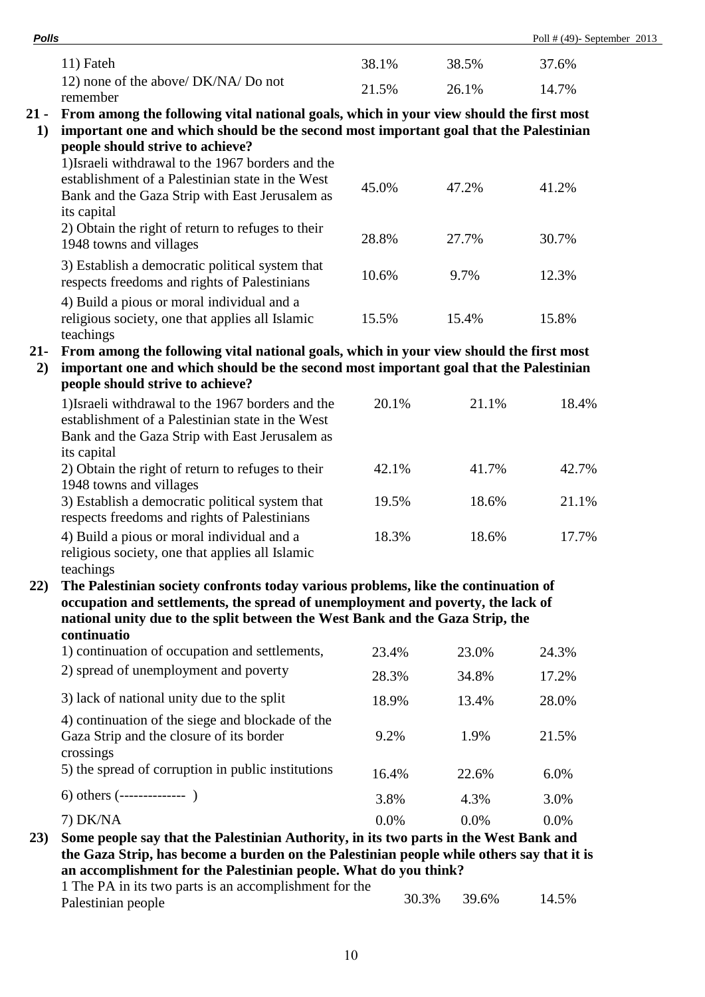| <b>Polls</b> |                                                                                                                                                                                                                      |       |       | Poll # $(49)$ - September 2013 |
|--------------|----------------------------------------------------------------------------------------------------------------------------------------------------------------------------------------------------------------------|-------|-------|--------------------------------|
|              | 11) Fateh                                                                                                                                                                                                            | 38.1% | 38.5% | 37.6%                          |
|              | 12) none of the above/ DK/NA/ Do not<br>remember                                                                                                                                                                     | 21.5% | 26.1% | 14.7%                          |
| $21 -$       | From among the following vital national goals, which in your view should the first most                                                                                                                              |       |       |                                |
| 1)           | important one and which should be the second most important goal that the Palestinian                                                                                                                                |       |       |                                |
|              | people should strive to achieve?<br>1) Israeli withdrawal to the 1967 borders and the<br>establishment of a Palestinian state in the West                                                                            |       |       |                                |
|              | Bank and the Gaza Strip with East Jerusalem as<br>its capital                                                                                                                                                        | 45.0% | 47.2% | 41.2%                          |
|              | 2) Obtain the right of return to refuges to their<br>1948 towns and villages                                                                                                                                         | 28.8% | 27.7% | 30.7%                          |
|              | 3) Establish a democratic political system that<br>respects freedoms and rights of Palestinians                                                                                                                      | 10.6% | 9.7%  | 12.3%                          |
|              | 4) Build a pious or moral individual and a<br>religious society, one that applies all Islamic<br>teachings                                                                                                           | 15.5% | 15.4% | 15.8%                          |
| $21-$<br>2)  | From among the following vital national goals, which in your view should the first most<br>important one and which should be the second most important goal that the Palestinian<br>people should strive to achieve? |       |       |                                |
|              | 1) Israeli withdrawal to the 1967 borders and the<br>establishment of a Palestinian state in the West<br>Bank and the Gaza Strip with East Jerusalem as                                                              | 20.1% | 21.1% | 18.4%                          |
|              | its capital<br>2) Obtain the right of return to refuges to their<br>1948 towns and villages                                                                                                                          | 42.1% | 41.7% | 42.7%                          |
|              | 3) Establish a democratic political system that<br>respects freedoms and rights of Palestinians                                                                                                                      | 19.5% | 18.6% | 21.1%                          |
|              | 4) Build a pious or moral individual and a<br>religious society, one that applies all Islamic<br>teachings                                                                                                           | 18.3% | 18.6% | 17.7%                          |
| 22)          | The Palestinian society confronts today various problems, like the continuation of                                                                                                                                   |       |       |                                |
|              | occupation and settlements, the spread of unemployment and poverty, the lack of                                                                                                                                      |       |       |                                |
|              | national unity due to the split between the West Bank and the Gaza Strip, the                                                                                                                                        |       |       |                                |
|              | continuatio                                                                                                                                                                                                          |       |       |                                |
|              | 1) continuation of occupation and settlements,<br>2) spread of unemployment and poverty                                                                                                                              | 23.4% | 23.0% | 24.3%                          |
|              |                                                                                                                                                                                                                      | 28.3% | 34.8% | 17.2%                          |
|              | 3) lack of national unity due to the split                                                                                                                                                                           | 18.9% | 13.4% | 28.0%                          |
|              | 4) continuation of the siege and blockade of the<br>Gaza Strip and the closure of its border<br>crossings                                                                                                            | 9.2%  | 1.9%  | 21.5%                          |
|              | 5) the spread of corruption in public institutions                                                                                                                                                                   | 16.4% | 22.6% | 6.0%                           |
|              |                                                                                                                                                                                                                      | 3.8%  | 4.3%  | 3.0%                           |

7) DK/NA 0.0% 0.0% 0.0%

**23) Some people say that the Palestinian Authority, in its two parts in the West Bank and the Gaza Strip, has become a burden on the Palestinian people while others say that it is an accomplishment for the Palestinian people. What do you think?**

1 The PA in its two parts is an accomplishment for the Palestinian people 30.3% 39.6% 14.5%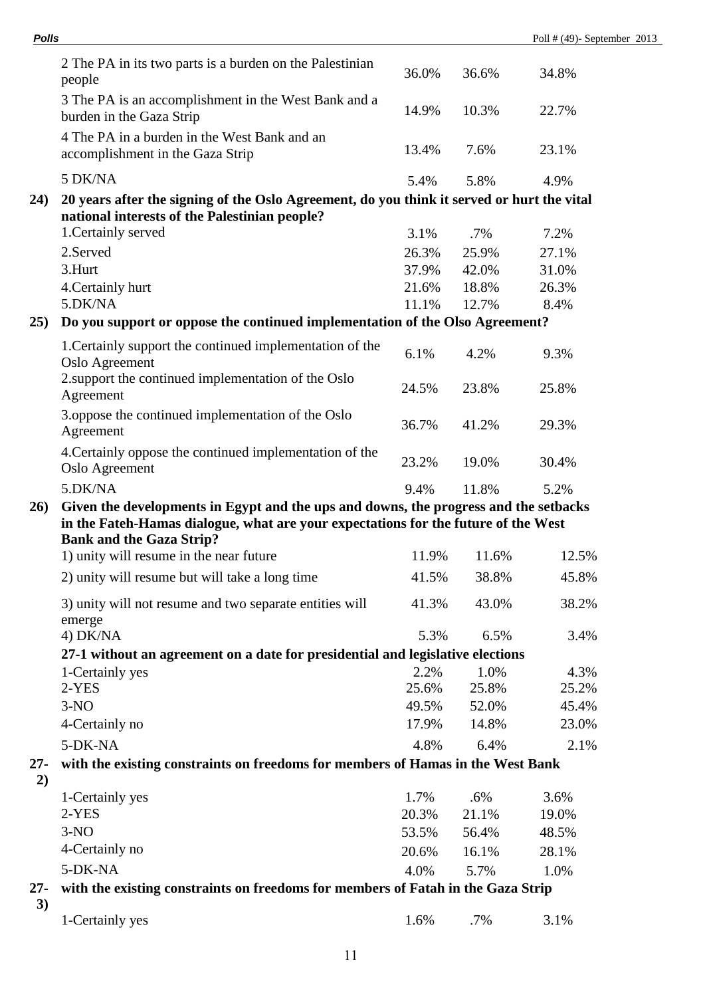|           | 2 The PA in its two parts is a burden on the Palestinian<br>people                                                                          | 36.0%          | 36.6%  | 34.8% |
|-----------|---------------------------------------------------------------------------------------------------------------------------------------------|----------------|--------|-------|
|           | 3 The PA is an accomplishment in the West Bank and a<br>burden in the Gaza Strip                                                            | 14.9%          | 10.3%  | 22.7% |
|           | 4 The PA in a burden in the West Bank and an<br>accomplishment in the Gaza Strip                                                            | 13.4%          | 7.6%   | 23.1% |
|           | 5 DK/NA                                                                                                                                     | 5.4%           | 5.8%   | 4.9%  |
| 24)       | 20 years after the signing of the Oslo Agreement, do you think it served or hurt the vital<br>national interests of the Palestinian people? |                |        |       |
|           | 1. Certainly served                                                                                                                         | 3.1%           | $.7\%$ | 7.2%  |
|           | 2.Served                                                                                                                                    | 26.3%          | 25.9%  | 27.1% |
|           | 3.Hurt                                                                                                                                      | 37.9%          | 42.0%  | 31.0% |
|           | 4. Certainly hurt                                                                                                                           | 21.6%          | 18.8%  | 26.3% |
|           | 5.DK/NA                                                                                                                                     | 11.1%          | 12.7%  | 8.4%  |
| 25)       | Do you support or oppose the continued implementation of the Olso Agreement?                                                                |                |        |       |
|           | 1. Certainly support the continued implementation of the<br>Oslo Agreement                                                                  | 6.1%           | 4.2%   | 9.3%  |
|           | 2. support the continued implementation of the Oslo<br>Agreement                                                                            | 24.5%          | 23.8%  | 25.8% |
|           | 3.oppose the continued implementation of the Oslo<br>Agreement                                                                              | 36.7%          | 41.2%  | 29.3% |
|           | 4. Certainly oppose the continued implementation of the<br>Oslo Agreement                                                                   | 23.2%          | 19.0%  | 30.4% |
|           | 5.DK/NA                                                                                                                                     | 9.4%           | 11.8%  | 5.2%  |
| 26)       | Given the developments in Egypt and the ups and downs, the progress and the setbacks                                                        |                |        |       |
|           | in the Fateh-Hamas dialogue, what are your expectations for the future of the West<br><b>Bank and the Gaza Strip?</b>                       |                |        |       |
|           | 1) unity will resume in the near future                                                                                                     | 11.9%          | 11.6%  | 12.5% |
|           | 2) unity will resume but will take a long time                                                                                              | 41.5%          | 38.8%  | 45.8% |
|           | 3) unity will not resume and two separate entities will<br>emerge                                                                           | 41.3%          | 43.0%  | 38.2% |
|           | 4) DK/NA                                                                                                                                    | 5.3%           | 6.5%   | 3.4%  |
|           | 27-1 without an agreement on a date for presidential and legislative elections                                                              |                |        |       |
|           | 1-Certainly yes                                                                                                                             | 2.2%           | 1.0%   | 4.3%  |
|           | 2-YES                                                                                                                                       | 25.6%          | 25.8%  | 25.2% |
|           | $3-NO$                                                                                                                                      | 49.5%<br>17.9% | 52.0%  | 45.4% |
|           | 4-Certainly no                                                                                                                              |                | 14.8%  | 23.0% |
|           | 5-DK-NA                                                                                                                                     | 4.8%           | 6.4%   | 2.1%  |
| 27-<br>2) | with the existing constraints on freedoms for members of Hamas in the West Bank                                                             |                |        |       |
|           | 1-Certainly yes                                                                                                                             | 1.7%           | $.6\%$ | 3.6%  |
|           | $2-YES$                                                                                                                                     | 20.3%          | 21.1%  | 19.0% |
|           | $3-NO$                                                                                                                                      | 53.5%          | 56.4%  | 48.5% |
|           | 4-Certainly no                                                                                                                              | 20.6%          | 16.1%  | 28.1% |
|           | 5-DK-NA                                                                                                                                     | 4.0%           | 5.7%   | 1.0%  |
| 27-       | with the existing constraints on freedoms for members of Fatah in the Gaza Strip                                                            |                |        |       |
| 3)        | 1-Certainly yes                                                                                                                             | 1.6%           | .7%    | 3.1%  |
|           |                                                                                                                                             |                |        |       |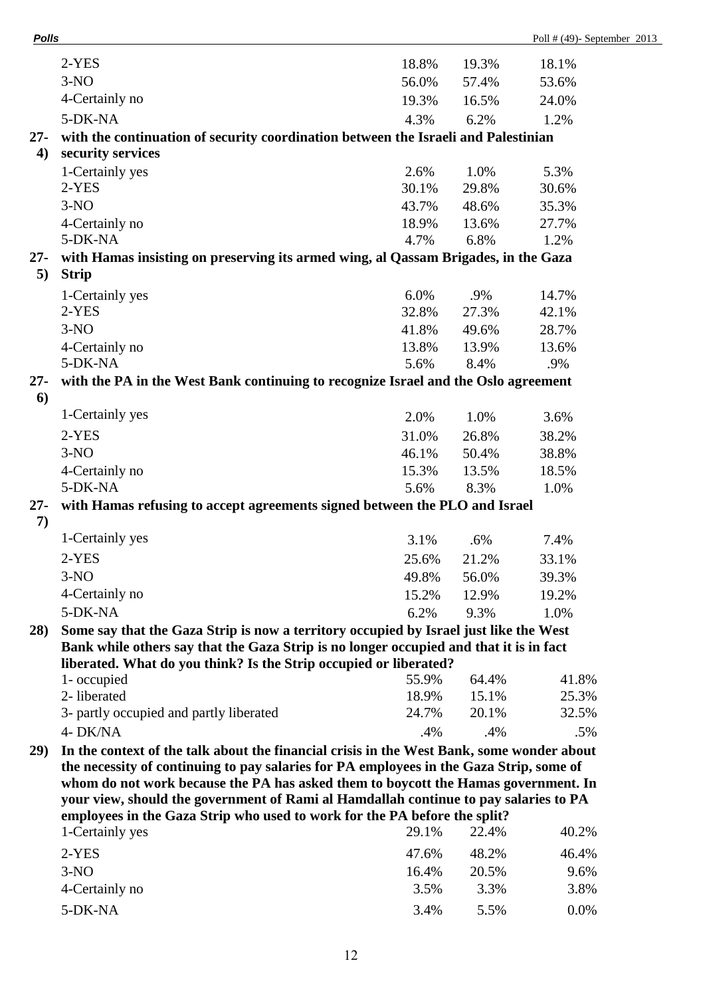| <b>Polls</b>     |                                                                                                                                                                            |       |       | Poll $\#$ (49)- September 2013 |
|------------------|----------------------------------------------------------------------------------------------------------------------------------------------------------------------------|-------|-------|--------------------------------|
|                  | $2-YES$                                                                                                                                                                    | 18.8% | 19.3% | 18.1%                          |
|                  | $3-NO$                                                                                                                                                                     | 56.0% | 57.4% | 53.6%                          |
|                  | 4-Certainly no                                                                                                                                                             | 19.3% | 16.5% | 24.0%                          |
|                  | 5-DK-NA                                                                                                                                                                    | 4.3%  | 6.2%  | 1.2%                           |
| $27 -$           | with the continuation of security coordination between the Israeli and Palestinian                                                                                         |       |       |                                |
| $\boldsymbol{4}$ | security services                                                                                                                                                          |       |       |                                |
|                  | 1-Certainly yes                                                                                                                                                            | 2.6%  | 1.0%  | 5.3%                           |
|                  | $2-YES$                                                                                                                                                                    | 30.1% | 29.8% | 30.6%                          |
|                  | $3-NO$                                                                                                                                                                     | 43.7% | 48.6% | 35.3%                          |
|                  | 4-Certainly no                                                                                                                                                             | 18.9% | 13.6% | 27.7%                          |
|                  | 5-DK-NA                                                                                                                                                                    | 4.7%  | 6.8%  | 1.2%                           |
| $27 -$<br>5)     | with Hamas insisting on preserving its armed wing, al Qassam Brigades, in the Gaza<br><b>Strip</b>                                                                         |       |       |                                |
|                  | 1-Certainly yes                                                                                                                                                            | 6.0%  | .9%   | 14.7%                          |
|                  | $2-YES$                                                                                                                                                                    | 32.8% | 27.3% | 42.1%                          |
|                  | $3-NO$                                                                                                                                                                     | 41.8% | 49.6% | 28.7%                          |
|                  | 4-Certainly no                                                                                                                                                             | 13.8% | 13.9% | 13.6%                          |
|                  | 5-DK-NA                                                                                                                                                                    | 5.6%  | 8.4%  | .9%                            |
| $27 -$           | with the PA in the West Bank continuing to recognize Israel and the Oslo agreement                                                                                         |       |       |                                |
| 6                |                                                                                                                                                                            |       |       |                                |
|                  | 1-Certainly yes                                                                                                                                                            | 2.0%  | 1.0%  | 3.6%                           |
|                  | $2-YES$                                                                                                                                                                    | 31.0% | 26.8% | 38.2%                          |
|                  | $3-NO$                                                                                                                                                                     | 46.1% | 50.4% | 38.8%                          |
|                  | 4-Certainly no                                                                                                                                                             | 15.3% | 13.5% | 18.5%                          |
|                  | 5-DK-NA                                                                                                                                                                    | 5.6%  | 8.3%  | 1.0%                           |
| $27 -$<br>7)     | with Hamas refusing to accept agreements signed between the PLO and Israel                                                                                                 |       |       |                                |
|                  | 1-Certainly yes                                                                                                                                                            | 3.1%  | .6%   | 7.4%                           |
|                  | $2-YES$                                                                                                                                                                    | 25.6% | 21.2% | 33.1%                          |
|                  | $3-NO$                                                                                                                                                                     | 49.8% | 56.0% | 39.3%                          |
|                  | 4-Certainly no                                                                                                                                                             | 15.2% | 12.9% | 19.2%                          |
|                  | 5-DK-NA                                                                                                                                                                    | 6.2%  | 9.3%  | 1.0%                           |
| 28)              | Some say that the Gaza Strip is now a territory occupied by Israel just like the West                                                                                      |       |       |                                |
|                  | Bank while others say that the Gaza Strip is no longer occupied and that it is in fact                                                                                     |       |       |                                |
|                  | liberated. What do you think? Is the Strip occupied or liberated?                                                                                                          |       |       |                                |
|                  | 1- occupied                                                                                                                                                                | 55.9% | 64.4% | 41.8%                          |
|                  | 2-liberated                                                                                                                                                                | 18.9% | 15.1% | 25.3%                          |
|                  | 3- partly occupied and partly liberated                                                                                                                                    | 24.7% | 20.1% | 32.5%                          |
|                  | 4- DK/NA                                                                                                                                                                   | .4%   | .4%   | $.5\%$                         |
| 29)              | In the context of the talk about the financial crisis in the West Bank, some wonder about                                                                                  |       |       |                                |
|                  | the necessity of continuing to pay salaries for PA employees in the Gaza Strip, some of                                                                                    |       |       |                                |
|                  | whom do not work because the PA has asked them to boycott the Hamas government. In<br>your view, should the government of Rami al Hamdallah continue to pay salaries to PA |       |       |                                |
|                  | employees in the Gaza Strip who used to work for the PA before the split?                                                                                                  |       |       |                                |
|                  | 1-Certainly yes                                                                                                                                                            | 29.1% | 22.4% | 40.2%                          |
|                  | 2-YES                                                                                                                                                                      | 47.6% | 48.2% | 46.4%                          |
|                  | $3-NO$                                                                                                                                                                     | 16.4% | 20.5% | 9.6%                           |
|                  | 4-Certainly no                                                                                                                                                             | 3.5%  | 3.3%  | 3.8%                           |
|                  | 5-DK-NA                                                                                                                                                                    | 3.4%  | 5.5%  | 0.0%                           |
|                  |                                                                                                                                                                            |       |       |                                |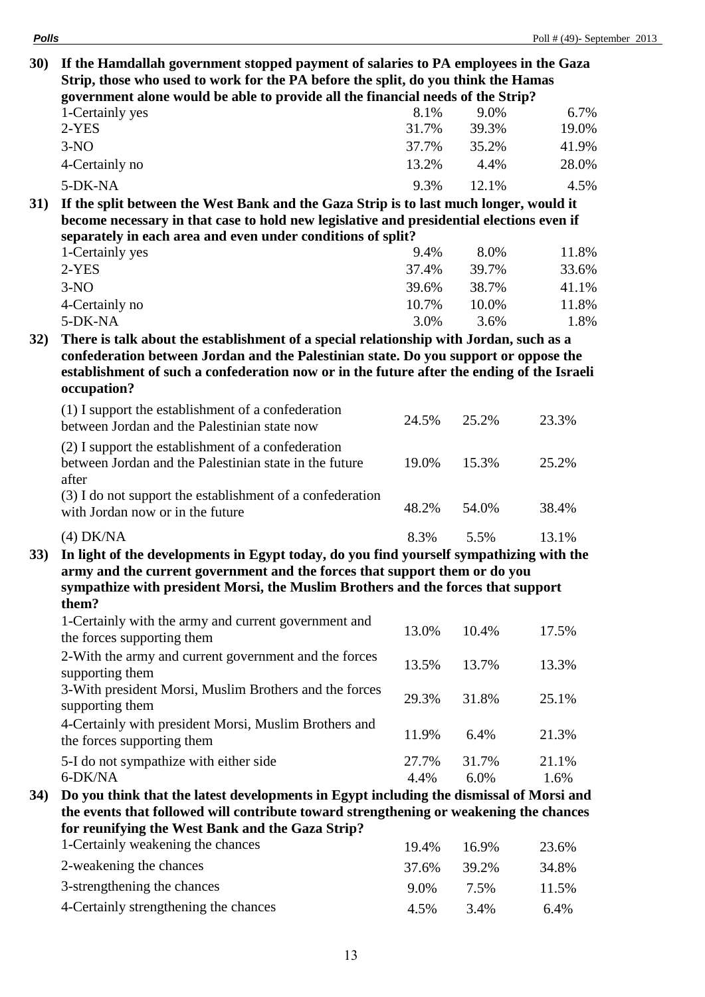**30) If the Hamdallah government stopped payment of salaries to PA employees in the Gaza Strip, those who used to work for the PA before the split, do you think the Hamas government alone would be able to provide all the financial needs of the Strip?**

| government alone would be able to provide an the miancial needs of the Strip. |       |          |       |  |
|-------------------------------------------------------------------------------|-------|----------|-------|--|
| 1-Certainly yes                                                               | 8.1%  | $9.0\%$  | 6.7%  |  |
| $2-YES$                                                                       | 31.7% | 39.3%    | 19.0% |  |
| $3-NO$                                                                        | 37.7% | 35.2%    | 41.9% |  |
| 4-Certainly no                                                                | 13.2% | 4.4%     | 28.0% |  |
| 5-DK-NA                                                                       | 9.3%  | $12.1\%$ | 4.5%  |  |

**31) If the split between the West Bank and the Gaza Strip is to last much longer, would it become necessary in that case to hold new legislative and presidential elections even if separately in each area and even under conditions of split?**

| 1-Certainly yes | 9.4%  | 8.0%  | 11.8% |
|-----------------|-------|-------|-------|
| $2-YES$         | 37.4% | 39.7% | 33.6% |
| $3-NO$          | 39.6% | 38.7% | 41.1% |
| 4-Certainly no  | 10.7% | 10.0% | 11.8% |
| 5-DK-NA         | 3.0%  | 3.6%  | 1.8%  |

**32) There is talk about the establishment of a special relationship with Jordan, such as a confederation between Jordan and the Palestinian state. Do you support or oppose the establishment of such a confederation now or in the future after the ending of the Israeli occupation?**

| (1) I support the establishment of a confederation<br>between Jordan and the Palestinian state now                    | 24.5% | 25.2% | 23.3% |
|-----------------------------------------------------------------------------------------------------------------------|-------|-------|-------|
| (2) I support the establishment of a confederation<br>between Jordan and the Palestinian state in the future<br>after | 19.0% | 15.3% | 25.2% |
| (3) I do not support the establishment of a confederation<br>with Jordan now or in the future                         | 48.2% | 54.0% | 38.4% |
| $(4)$ DK/NA                                                                                                           | 8.3%  | 5.5%  | 13.1% |

**33) In light of the developments in Egypt today, do you find yourself sympathizing with the army and the current government and the forces that support them or do you sympathize with president Morsi, the Muslim Brothers and the forces that support them?**

| 1-Certainly with the army and current government and<br>the forces supporting them  | 13.0% | 10.4% | 17.5% |
|-------------------------------------------------------------------------------------|-------|-------|-------|
| 2-With the army and current government and the forces<br>supporting them            | 13.5% | 13.7% | 13.3% |
| 3-With president Morsi, Muslim Brothers and the forces<br>supporting them           | 29.3% | 31.8% | 25.1% |
| 4-Certainly with president Morsi, Muslim Brothers and<br>the forces supporting them | 11.9% | 6.4%  | 21.3% |
| 5-I do not sympathize with either side                                              | 27.7% | 31.7% | 21.1% |
| 6-DK/NA                                                                             | 4.4%  | 6.0%  | 1.6%  |

**34) Do you think that the latest developments in Egypt including the dismissal of Morsi and the events that followed will contribute toward strengthening or weakening the chances for reunifying the West Bank and the Gaza Strip?**

| 1-Certainly weakening the chances     | 19.4% | 16.9% | 23.6% |
|---------------------------------------|-------|-------|-------|
| 2-weakening the chances               | 37.6% | 39.2% | 34.8% |
| 3-strengthening the chances           | 9.0%  | 7.5%  | 11.5% |
| 4-Certainly strengthening the chances | 4.5%  | 3.4%  | 6.4%  |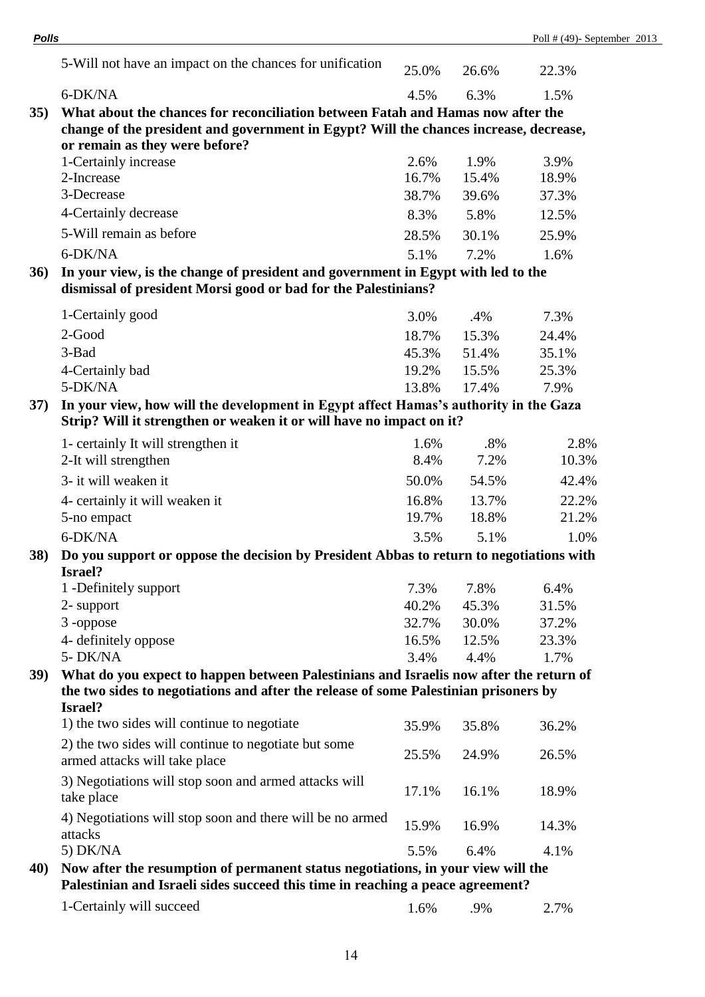| <b>Polls</b> |                                                                                                                                                                                           |       |       | Poll $\#$ (49)-September 2013 |  |  |  |
|--------------|-------------------------------------------------------------------------------------------------------------------------------------------------------------------------------------------|-------|-------|-------------------------------|--|--|--|
|              | 5-Will not have an impact on the chances for unification                                                                                                                                  | 25.0% | 26.6% | 22.3%                         |  |  |  |
|              | 6-DK/NA                                                                                                                                                                                   | 4.5%  | 6.3%  | 1.5%                          |  |  |  |
| 35)          | What about the chances for reconciliation between Fatah and Hamas now after the                                                                                                           |       |       |                               |  |  |  |
|              | change of the president and government in Egypt? Will the chances increase, decrease,<br>or remain as they were before?                                                                   |       |       |                               |  |  |  |
|              | 1-Certainly increase                                                                                                                                                                      | 2.6%  | 1.9%  | 3.9%                          |  |  |  |
|              | 2-Increase                                                                                                                                                                                | 16.7% | 15.4% | 18.9%                         |  |  |  |
|              | 3-Decrease                                                                                                                                                                                | 38.7% | 39.6% | 37.3%                         |  |  |  |
|              | 4-Certainly decrease                                                                                                                                                                      | 8.3%  | 5.8%  | 12.5%                         |  |  |  |
|              | 5-Will remain as before                                                                                                                                                                   | 28.5% | 30.1% | 25.9%                         |  |  |  |
|              | 6-DK/NA                                                                                                                                                                                   | 5.1%  | 7.2%  | 1.6%                          |  |  |  |
| 36)          | In your view, is the change of president and government in Egypt with led to the<br>dismissal of president Morsi good or bad for the Palestinians?                                        |       |       |                               |  |  |  |
|              | 1-Certainly good                                                                                                                                                                          | 3.0%  | .4%   | 7.3%                          |  |  |  |
|              | 2-Good                                                                                                                                                                                    | 18.7% | 15.3% | 24.4%                         |  |  |  |
|              | 3-Bad                                                                                                                                                                                     | 45.3% | 51.4% | 35.1%                         |  |  |  |
|              | 4-Certainly bad                                                                                                                                                                           | 19.2% | 15.5% | 25.3%                         |  |  |  |
|              | 5-DK/NA                                                                                                                                                                                   | 13.8% | 17.4% | 7.9%                          |  |  |  |
| <b>37</b> )  | In your view, how will the development in Egypt affect Hamas's authority in the Gaza<br>Strip? Will it strengthen or weaken it or will have no impact on it?                              |       |       |                               |  |  |  |
|              | 1- certainly It will strengthen it                                                                                                                                                        | 1.6%  | .8%   | 2.8%                          |  |  |  |
|              | 2-It will strengthen                                                                                                                                                                      | 8.4%  | 7.2%  | 10.3%                         |  |  |  |
|              | 3- it will weaken it                                                                                                                                                                      | 50.0% | 54.5% | 42.4%                         |  |  |  |
|              | 4- certainly it will weaken it                                                                                                                                                            | 16.8% | 13.7% | 22.2%                         |  |  |  |
|              | 5-no empact                                                                                                                                                                               | 19.7% | 18.8% | 21.2%                         |  |  |  |
|              | 6-DK/NA                                                                                                                                                                                   | 3.5%  | 5.1%  | 1.0%                          |  |  |  |
| <b>38</b> )  | Do you support or oppose the decision by President Abbas to return to negotiations with<br><b>Israel?</b>                                                                                 |       |       |                               |  |  |  |
|              | 1 -Definitely support                                                                                                                                                                     | 7.3%  | 7.8%  | 6.4%                          |  |  |  |
|              | 2- support                                                                                                                                                                                | 40.2% | 45.3% | 31.5%                         |  |  |  |
|              | 3-oppose                                                                                                                                                                                  | 32.7% | 30.0% | 37.2%                         |  |  |  |
|              | 4- definitely oppose                                                                                                                                                                      | 16.5% | 12.5% | 23.3%                         |  |  |  |
|              | 5-DK/NA                                                                                                                                                                                   | 3.4%  | 4.4%  | 1.7%                          |  |  |  |
| <b>39</b> )  | What do you expect to happen between Palestinians and Israelis now after the return of<br>the two sides to negotiations and after the release of some Palestinian prisoners by<br>Israel? |       |       |                               |  |  |  |
|              | 1) the two sides will continue to negotiate                                                                                                                                               | 35.9% | 35.8% | 36.2%                         |  |  |  |
|              | 2) the two sides will continue to negotiate but some<br>armed attacks will take place                                                                                                     | 25.5% | 24.9% | 26.5%                         |  |  |  |
|              | 3) Negotiations will stop soon and armed attacks will<br>take place                                                                                                                       | 17.1% | 16.1% | 18.9%                         |  |  |  |
|              | 4) Negotiations will stop soon and there will be no armed<br>attacks                                                                                                                      | 15.9% | 16.9% | 14.3%                         |  |  |  |
|              | 5) DK/NA                                                                                                                                                                                  | 5.5%  | 6.4%  | 4.1%                          |  |  |  |
| 40)          | Now after the resumption of permanent status negotiations, in your view will the<br>Palestinian and Israeli sides succeed this time in reaching a peace agreement?                        |       |       |                               |  |  |  |
|              | 1-Certainly will succeed                                                                                                                                                                  | 1.6%  | .9%   | 2.7%                          |  |  |  |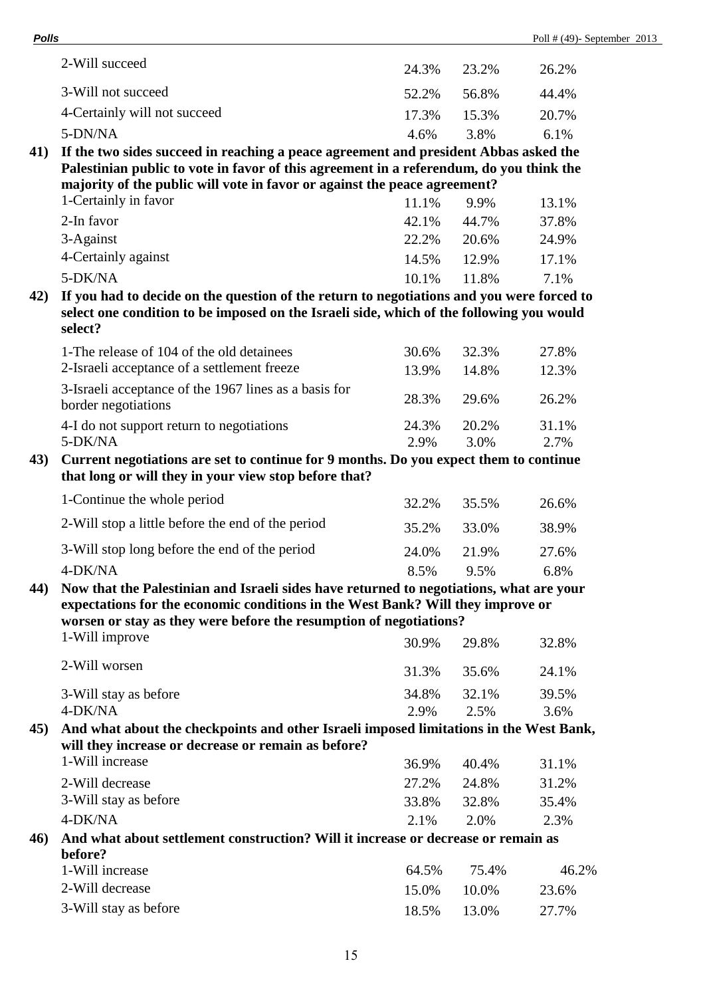|     | 2-Will succeed                                                                                                                                                                                                                                                                       | 24.3% | 23.2% | 26.2% |
|-----|--------------------------------------------------------------------------------------------------------------------------------------------------------------------------------------------------------------------------------------------------------------------------------------|-------|-------|-------|
|     | 3-Will not succeed                                                                                                                                                                                                                                                                   | 52.2% | 56.8% | 44.4% |
|     | 4-Certainly will not succeed                                                                                                                                                                                                                                                         | 17.3% | 15.3% | 20.7% |
|     | 5-DN/NA                                                                                                                                                                                                                                                                              | 4.6%  | 3.8%  | 6.1%  |
| 41) | If the two sides succeed in reaching a peace agreement and president Abbas asked the<br>Palestinian public to vote in favor of this agreement in a referendum, do you think the<br>majority of the public will vote in favor or against the peace agreement?<br>1-Certainly in favor | 11.1% | 9.9%  | 13.1% |
|     | 2-In favor                                                                                                                                                                                                                                                                           | 42.1% | 44.7% | 37.8% |
|     | 3-Against                                                                                                                                                                                                                                                                            | 22.2% | 20.6% | 24.9% |
|     | 4-Certainly against                                                                                                                                                                                                                                                                  | 14.5% | 12.9% | 17.1% |
|     | 5-DK/NA                                                                                                                                                                                                                                                                              | 10.1% | 11.8% | 7.1%  |
| 42) | If you had to decide on the question of the return to negotiations and you were forced to<br>select one condition to be imposed on the Israeli side, which of the following you would<br>select?                                                                                     |       |       |       |
|     | 1-The release of 104 of the old detainees                                                                                                                                                                                                                                            | 30.6% | 32.3% | 27.8% |
|     | 2-Israeli acceptance of a settlement freeze                                                                                                                                                                                                                                          | 13.9% | 14.8% | 12.3% |
|     | 3-Israeli acceptance of the 1967 lines as a basis for<br>border negotiations                                                                                                                                                                                                         | 28.3% | 29.6% | 26.2% |
|     | 4-I do not support return to negotiations                                                                                                                                                                                                                                            | 24.3% | 20.2% | 31.1% |
|     | 5-DK/NA                                                                                                                                                                                                                                                                              | 2.9%  | 3.0%  | 2.7%  |
| 43) | Current negotiations are set to continue for 9 months. Do you expect them to continue<br>that long or will they in your view stop before that?                                                                                                                                       |       |       |       |
|     | 1-Continue the whole period                                                                                                                                                                                                                                                          | 32.2% | 35.5% | 26.6% |
|     | 2-Will stop a little before the end of the period                                                                                                                                                                                                                                    | 35.2% | 33.0% | 38.9% |
|     | 3-Will stop long before the end of the period                                                                                                                                                                                                                                        | 24.0% | 21.9% | 27.6% |
|     | 4-DK/NA                                                                                                                                                                                                                                                                              | 8.5%  | 9.5%  | 6.8%  |
| 44) | Now that the Palestinian and Israeli sides have returned to negotiations, what are your<br>expectations for the economic conditions in the West Bank? Will they improve or<br>worsen or stay as they were before the resumption of negotiations?<br>1-Will improve                   | 30.9% | 29.8% | 32.8% |
|     | 2-Will worsen                                                                                                                                                                                                                                                                        | 31.3% | 35.6% | 24.1% |
|     | 3-Will stay as before                                                                                                                                                                                                                                                                | 34.8% | 32.1% | 39.5% |
|     | 4-DK/NA                                                                                                                                                                                                                                                                              | 2.9%  | 2.5%  | 3.6%  |
| 45) | And what about the checkpoints and other Israeli imposed limitations in the West Bank,<br>will they increase or decrease or remain as before?                                                                                                                                        |       |       |       |
|     | 1-Will increase                                                                                                                                                                                                                                                                      | 36.9% | 40.4% | 31.1% |
|     | 2-Will decrease                                                                                                                                                                                                                                                                      | 27.2% | 24.8% | 31.2% |
|     | 3-Will stay as before                                                                                                                                                                                                                                                                | 33.8% | 32.8% | 35.4% |
|     | 4-DK/NA                                                                                                                                                                                                                                                                              | 2.1%  | 2.0%  | 2.3%  |
| 46) | And what about settlement construction? Will it increase or decrease or remain as<br>before?                                                                                                                                                                                         |       |       |       |
|     | 1-Will increase<br>2-Will decrease                                                                                                                                                                                                                                                   | 64.5% | 75.4% | 46.2% |
|     |                                                                                                                                                                                                                                                                                      | 15.0% | 10.0% | 23.6% |
|     | 3-Will stay as before                                                                                                                                                                                                                                                                | 18.5% | 13.0% | 27.7% |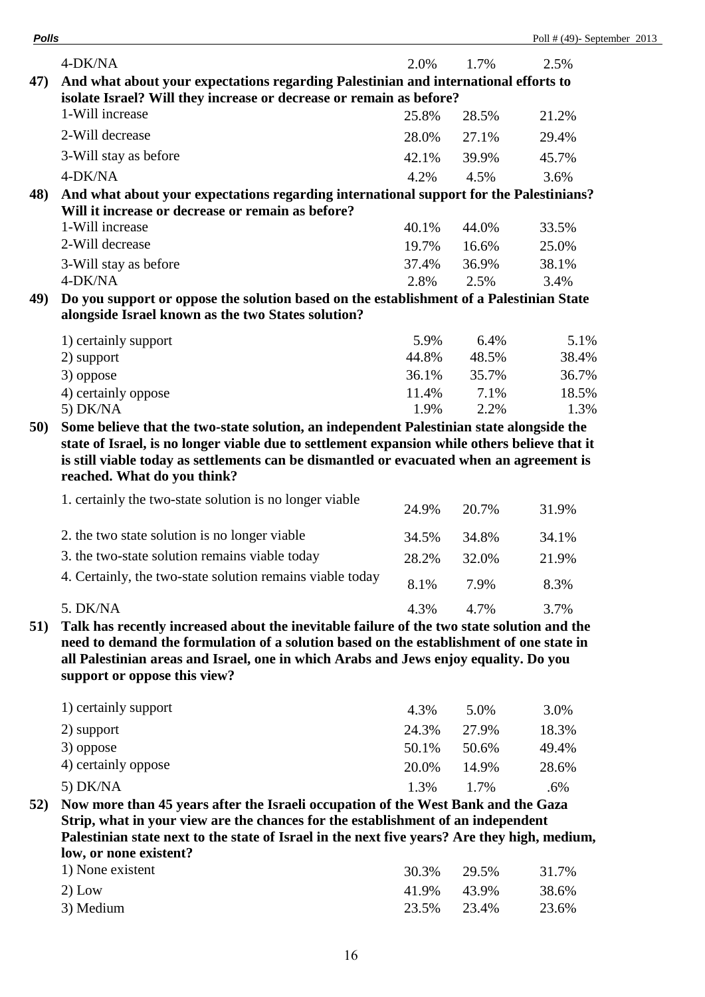| <b>Polls</b><br>$(49)$ -<br>$\overline{1}$<br>Poll<br>September |
|-----------------------------------------------------------------|
|-----------------------------------------------------------------|

|     | 4-DK/NA                                                                                       | 2.0%  | 1.7%  | 2.5%  |  |  |
|-----|-----------------------------------------------------------------------------------------------|-------|-------|-------|--|--|
| 47) | And what about your expectations regarding Palestinian and international efforts to           |       |       |       |  |  |
|     | isolate Israel? Will they increase or decrease or remain as before?                           |       |       |       |  |  |
|     | 1-Will increase                                                                               | 25.8% | 28.5% | 21.2% |  |  |
|     | 2-Will decrease                                                                               | 28.0% | 27.1% | 29.4% |  |  |
|     | 3-Will stay as before                                                                         | 42.1% | 39.9% | 45.7% |  |  |
|     | 4-DK/NA                                                                                       | 4.2%  | 4.5%  | 3.6%  |  |  |
| 48) | And what about your expectations regarding international support for the Palestinians?        |       |       |       |  |  |
|     | Will it increase or decrease or remain as before?                                             |       |       |       |  |  |
|     | 1-Will increase                                                                               | 40.1% | 44.0% | 33.5% |  |  |
|     | 2-Will decrease                                                                               | 19.7% | 16.6% | 25.0% |  |  |
|     | 3-Will stay as before                                                                         | 37.4% | 36.9% | 38.1% |  |  |
|     | 4-DK/NA                                                                                       | 2.8%  | 2.5%  | 3.4%  |  |  |
| 49) | Do you support or oppose the solution based on the establishment of a Palestinian State       |       |       |       |  |  |
|     | alongside Israel known as the two States solution?                                            |       |       |       |  |  |
|     | 1) certainly support                                                                          | 5.9%  | 6.4%  | 5.1%  |  |  |
|     | 2) support                                                                                    | 44.8% | 48.5% | 38.4% |  |  |
|     | 3) oppose                                                                                     | 36.1% | 35.7% | 36.7% |  |  |
|     | 4) certainly oppose                                                                           | 11.4% | 7.1%  | 18.5% |  |  |
|     | 5) DK/NA                                                                                      | 1.9%  | 2.2%  | 1.3%  |  |  |
| 50) | Some believe that the two-state solution, an independent Palestinian state alongside the      |       |       |       |  |  |
|     | state of Israel, is no longer viable due to settlement expansion while others believe that it |       |       |       |  |  |
|     | is still viable today as settlements can be dismantled or evacuated when an agreement is      |       |       |       |  |  |
|     | reached. What do you think?                                                                   |       |       |       |  |  |
|     | 1. certainly the two-state solution is no longer viable                                       | 24.9% | 20.7% | 31.9% |  |  |
|     | 2. the two state solution is no longer viable                                                 | 34.5% | 34.8% | 34.1% |  |  |
|     | 3. the two-state solution remains viable today                                                | 28.2% | 32.0% | 21.9% |  |  |
|     | 4. Certainly, the two-state solution remains viable today                                     | 8.1%  | 7.9%  | 8.3%  |  |  |
|     | 5. DK/NA                                                                                      | 4.3%  | 4.7%  | 3.7%  |  |  |
|     |                                                                                               |       |       |       |  |  |

**51) Talk has recently increased about the inevitable failure of the two state solution and the need to demand the formulation of a solution based on the establishment of one state in all Palestinian areas and Israel, one in which Arabs and Jews enjoy equality. Do you support or oppose this view?**

| 1) certainly support | 4.3%  | 5.0%  | 3.0%  |
|----------------------|-------|-------|-------|
| 2) support           | 24.3% | 27.9% | 18.3% |
| 3) oppose            | 50.1% | 50.6% | 49.4% |
| 4) certainly oppose  | 20.0% | 14.9% | 28.6% |
| $5)$ DK/NA           | 1.3%  | 1.7%  | .6%   |

**52) Now more than 45 years after the Israeli occupation of the West Bank and the Gaza Strip, what in your view are the chances for the establishment of an independent Palestinian state next to the state of Israel in the next five years? Are they high, medium, low, or none existent?**

| 1) None existent | 30.3% 29.5% | 31.7% |
|------------------|-------------|-------|
| $2)$ Low         | 41.9% 43.9% | 38.6% |
| 3) Medium        | 23.5% 23.4% | 23.6% |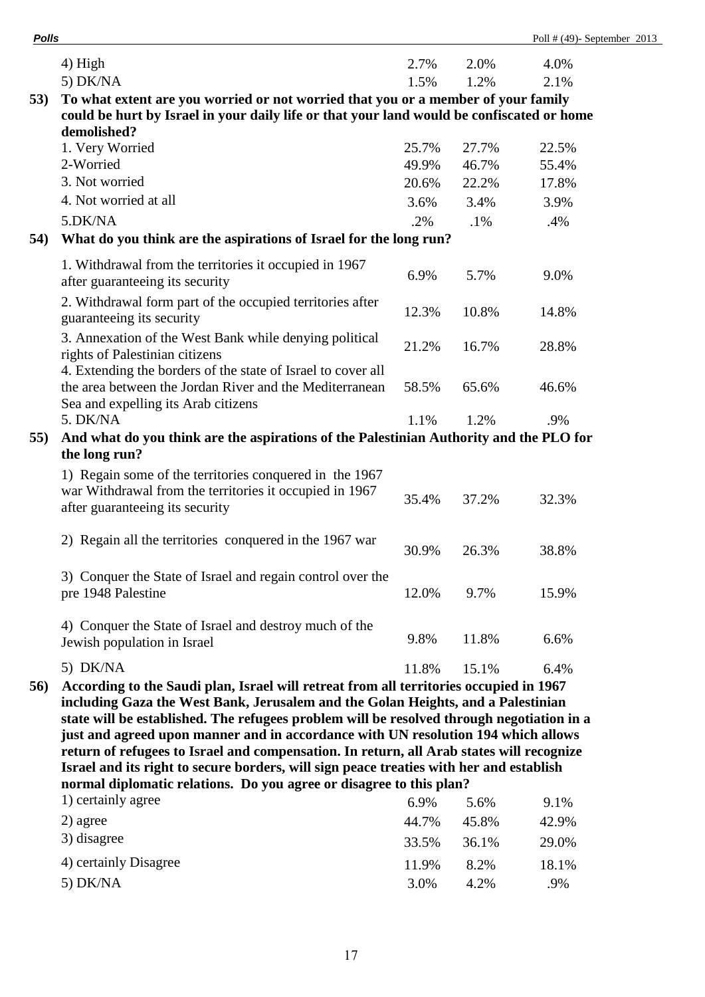| <b>Polls</b> |                                                                                                                                                                                                                                                                                                                                                                                                                                                                                                                                                                                                                            |       |        | Poll # $(49)$ - September 2013 |
|--------------|----------------------------------------------------------------------------------------------------------------------------------------------------------------------------------------------------------------------------------------------------------------------------------------------------------------------------------------------------------------------------------------------------------------------------------------------------------------------------------------------------------------------------------------------------------------------------------------------------------------------------|-------|--------|--------------------------------|
|              | 4) High                                                                                                                                                                                                                                                                                                                                                                                                                                                                                                                                                                                                                    | 2.7%  | 2.0%   | 4.0%                           |
|              | 5) DK/NA                                                                                                                                                                                                                                                                                                                                                                                                                                                                                                                                                                                                                   | 1.5%  | 1.2%   | 2.1%                           |
| 53)          | To what extent are you worried or not worried that you or a member of your family<br>could be hurt by Israel in your daily life or that your land would be confiscated or home<br>demolished?                                                                                                                                                                                                                                                                                                                                                                                                                              |       |        |                                |
|              | 1. Very Worried                                                                                                                                                                                                                                                                                                                                                                                                                                                                                                                                                                                                            | 25.7% | 27.7%  | 22.5%                          |
|              | 2-Worried                                                                                                                                                                                                                                                                                                                                                                                                                                                                                                                                                                                                                  | 49.9% | 46.7%  | 55.4%                          |
|              | 3. Not worried                                                                                                                                                                                                                                                                                                                                                                                                                                                                                                                                                                                                             | 20.6% | 22.2%  | 17.8%                          |
|              | 4. Not worried at all                                                                                                                                                                                                                                                                                                                                                                                                                                                                                                                                                                                                      | 3.6%  | 3.4%   | 3.9%                           |
|              | 5.DK/NA                                                                                                                                                                                                                                                                                                                                                                                                                                                                                                                                                                                                                    | .2%   | $.1\%$ | .4%                            |
| 54)          | What do you think are the aspirations of Israel for the long run?                                                                                                                                                                                                                                                                                                                                                                                                                                                                                                                                                          |       |        |                                |
|              | 1. Withdrawal from the territories it occupied in 1967<br>after guaranteeing its security                                                                                                                                                                                                                                                                                                                                                                                                                                                                                                                                  | 6.9%  | 5.7%   | 9.0%                           |
|              | 2. Withdrawal form part of the occupied territories after<br>guaranteeing its security                                                                                                                                                                                                                                                                                                                                                                                                                                                                                                                                     | 12.3% | 10.8%  | 14.8%                          |
|              | 3. Annexation of the West Bank while denying political<br>rights of Palestinian citizens                                                                                                                                                                                                                                                                                                                                                                                                                                                                                                                                   | 21.2% | 16.7%  | 28.8%                          |
|              | 4. Extending the borders of the state of Israel to cover all<br>the area between the Jordan River and the Mediterranean<br>Sea and expelling its Arab citizens                                                                                                                                                                                                                                                                                                                                                                                                                                                             | 58.5% | 65.6%  | 46.6%                          |
|              | 5. DK/NA                                                                                                                                                                                                                                                                                                                                                                                                                                                                                                                                                                                                                   | 1.1%  | 1.2%   | .9%                            |
| 55)          | And what do you think are the aspirations of the Palestinian Authority and the PLO for                                                                                                                                                                                                                                                                                                                                                                                                                                                                                                                                     |       |        |                                |
|              | the long run?                                                                                                                                                                                                                                                                                                                                                                                                                                                                                                                                                                                                              |       |        |                                |
|              | 1) Regain some of the territories conquered in the 1967<br>war Withdrawal from the territories it occupied in 1967<br>after guaranteeing its security                                                                                                                                                                                                                                                                                                                                                                                                                                                                      | 35.4% | 37.2%  | 32.3%                          |
|              | 2) Regain all the territories conquered in the 1967 war                                                                                                                                                                                                                                                                                                                                                                                                                                                                                                                                                                    | 30.9% | 26.3%  | 38.8%                          |
|              | 3) Conquer the State of Israel and regain control over the<br>pre 1948 Palestine                                                                                                                                                                                                                                                                                                                                                                                                                                                                                                                                           | 12.0% | 9.7%   | 15.9%                          |
|              | 4) Conquer the State of Israel and destroy much of the<br>Jewish population in Israel                                                                                                                                                                                                                                                                                                                                                                                                                                                                                                                                      | 9.8%  | 11.8%  | 6.6%                           |
|              | 5) DK/NA                                                                                                                                                                                                                                                                                                                                                                                                                                                                                                                                                                                                                   | 11.8% | 15.1%  | 6.4%                           |
| 56)          | According to the Saudi plan, Israel will retreat from all territories occupied in 1967<br>including Gaza the West Bank, Jerusalem and the Golan Heights, and a Palestinian<br>state will be established. The refugees problem will be resolved through negotiation in a<br>just and agreed upon manner and in accordance with UN resolution 194 which allows<br>return of refugees to Israel and compensation. In return, all Arab states will recognize<br>Israel and its right to secure borders, will sign peace treaties with her and establish<br>normal diplomatic relations. Do you agree or disagree to this plan? |       |        |                                |
|              | 1) certainly agree                                                                                                                                                                                                                                                                                                                                                                                                                                                                                                                                                                                                         | 6.9%  | 5.6%   | 9.1%                           |
|              |                                                                                                                                                                                                                                                                                                                                                                                                                                                                                                                                                                                                                            |       |        |                                |

|                       | ,,, <i>,</i> ,,, | $\sim \cdot$ $\sim$ $\cdot$ $\cdot$ | 2.170 |
|-----------------------|------------------|-------------------------------------|-------|
| 2) agree              | 44.7%            | 45.8%                               | 42.9% |
| 3) disagree           | 33.5%            | 36.1%                               | 29.0% |
| 4) certainly Disagree | 11.9%            | 8.2%                                | 18.1% |
| 5) DK/NA              | 3.0%             | 4.2%                                | .9%   |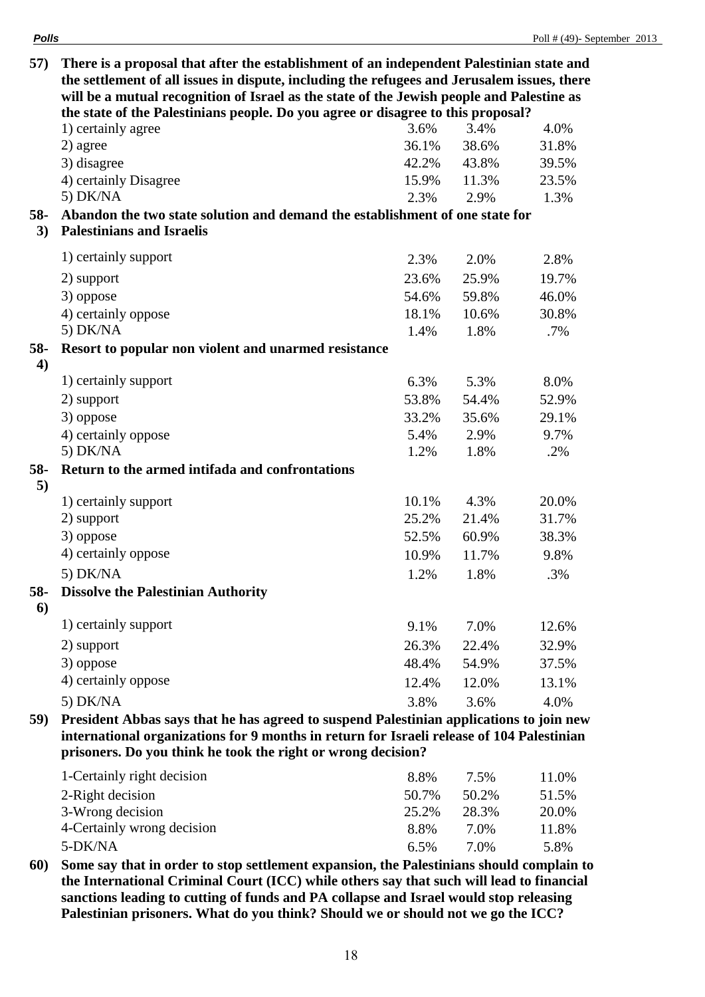**57) There is a proposal that after the establishment of an independent Palestinian state and the settlement of all issues in dispute, including the refugees and Jerusalem issues, there will be a mutual recognition of Israel as the state of the Jewish people and Palestine as the state of the Palestinians people. Do you agree or disagree to this proposal?** 1) certainly agree 3.6% 3.4% 4.0% 2) agree 36.1% 38.6% 31.8% 3) disagree 42.2% 43.8% 39.5% 4) certainly Disagree 15.9% 11.3% 23.5% 5) DK/NA 2.3% 2.9% 1.3% **58- Abandon the two state solution and demand the establishment of one state for 3) Palestinians and Israelis** 1) certainly support 2.3% 2.0% 2.8% 2) support 23.6% 25.9% 19.7% 3) oppose 54.6% 59.8% 46.0% 4) certainly oppose 18.1% 10.6% 30.8% 5) DK/NA 1.4% 1.8% .7% **58- 4) Resort to popular non violent and unarmed resistance** 1) certainly support 6.3% 5.3% 8.0% 2) support 53.8% 54.4% 52.9% 3) oppose 33.2% 35.6% 29.1% 4) certainly oppose 5.4% 2.9% 9.7% 5) DK/NA  $1.2\%$   $1.8\%$  .2% **58- 5) Return to the armed intifada and confrontations** 1) certainly support 10.1% 4.3% 20.0% 2) support 25.2% 21.4% 31.7% 3) oppose 52.5% 60.9% 38.3% 4) certainly oppose 10.9% 11.7% 9.8% 5) DK/NA 23% 2.3% **58- 6) Dissolve the Palestinian Authority** 1) certainly support 12.6% 9.1% 7.0% 12.6% 2) support 26.3% 22.4% 32.9% 3) oppose 48.4% 54.9% 37.5% 4) certainly oppose 12.4% 12.0% 13.1% 5) DK/NA 3.8% 3.6% 4.0% **59) President Abbas says that he has agreed to suspend Palestinian applications to join new international organizations for 9 months in return for Israeli release of 104 Palestinian prisoners. Do you think he took the right or wrong decision?**  $1-\text{Certainly right decision}$  8.8% 7.5% 11.0%

| T-Certainly right decision | $0.0\%$ | $1.3\%$ | 11.U70 |
|----------------------------|---------|---------|--------|
| 2-Right decision           | 50.7%   | 50.2%   | 51.5%  |
| 3-Wrong decision           | 25.2%   | 28.3%   | 20.0%  |
| 4-Certainly wrong decision | 8.8%    | 7.0%    | 11.8%  |
| 5-DK/NA                    | $6.5\%$ | 7.0%    | 5.8%   |
|                            |         |         |        |

**60) Some say that in order to stop settlement expansion, the Palestinians should complain to the International Criminal Court (ICC) while others say that such will lead to financial sanctions leading to cutting of funds and PA collapse and Israel would stop releasing Palestinian prisoners. What do you think? Should we or should not we go the ICC?**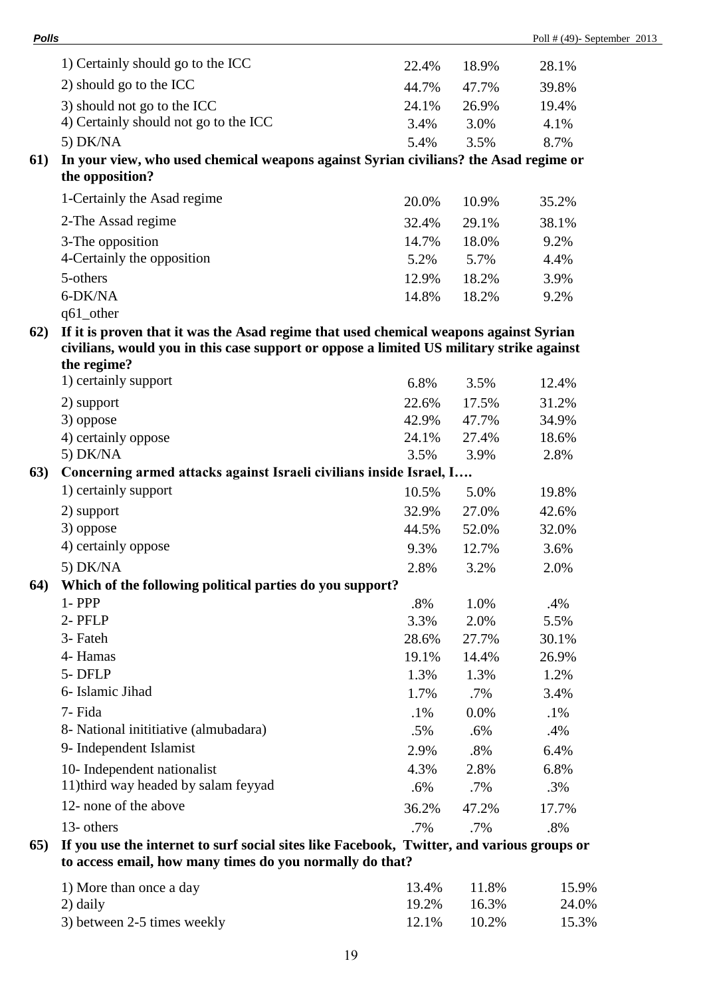| 1) Certainly should go to the ICC     | 22.4%                                                                                                                                                                                                                                                                                                                                                                                             | 18.9%                                                                                                                                                                                                         | 28.1%                                                                                                                                                                                                                                                                                                                                                                                                                                                                                                                                                                                            |
|---------------------------------------|---------------------------------------------------------------------------------------------------------------------------------------------------------------------------------------------------------------------------------------------------------------------------------------------------------------------------------------------------------------------------------------------------|---------------------------------------------------------------------------------------------------------------------------------------------------------------------------------------------------------------|--------------------------------------------------------------------------------------------------------------------------------------------------------------------------------------------------------------------------------------------------------------------------------------------------------------------------------------------------------------------------------------------------------------------------------------------------------------------------------------------------------------------------------------------------------------------------------------------------|
| 2) should go to the ICC               | 44.7%                                                                                                                                                                                                                                                                                                                                                                                             | 47.7%                                                                                                                                                                                                         | 39.8%                                                                                                                                                                                                                                                                                                                                                                                                                                                                                                                                                                                            |
| 3) should not go to the ICC           | 24.1%                                                                                                                                                                                                                                                                                                                                                                                             | 26.9%                                                                                                                                                                                                         | 19.4%                                                                                                                                                                                                                                                                                                                                                                                                                                                                                                                                                                                            |
| 4) Certainly should not go to the ICC | 3.4%                                                                                                                                                                                                                                                                                                                                                                                              | 3.0%                                                                                                                                                                                                          | 4.1%                                                                                                                                                                                                                                                                                                                                                                                                                                                                                                                                                                                             |
| 5) DK/NA                              | 5.4%                                                                                                                                                                                                                                                                                                                                                                                              | 3.5%                                                                                                                                                                                                          | 8.7%                                                                                                                                                                                                                                                                                                                                                                                                                                                                                                                                                                                             |
| the opposition?                       |                                                                                                                                                                                                                                                                                                                                                                                                   |                                                                                                                                                                                                               |                                                                                                                                                                                                                                                                                                                                                                                                                                                                                                                                                                                                  |
|                                       |                                                                                                                                                                                                                                                                                                                                                                                                   |                                                                                                                                                                                                               | 35.2%                                                                                                                                                                                                                                                                                                                                                                                                                                                                                                                                                                                            |
|                                       |                                                                                                                                                                                                                                                                                                                                                                                                   |                                                                                                                                                                                                               | 38.1%                                                                                                                                                                                                                                                                                                                                                                                                                                                                                                                                                                                            |
|                                       |                                                                                                                                                                                                                                                                                                                                                                                                   |                                                                                                                                                                                                               | 9.2%                                                                                                                                                                                                                                                                                                                                                                                                                                                                                                                                                                                             |
|                                       |                                                                                                                                                                                                                                                                                                                                                                                                   |                                                                                                                                                                                                               | 4.4%                                                                                                                                                                                                                                                                                                                                                                                                                                                                                                                                                                                             |
|                                       |                                                                                                                                                                                                                                                                                                                                                                                                   |                                                                                                                                                                                                               | 3.9%                                                                                                                                                                                                                                                                                                                                                                                                                                                                                                                                                                                             |
|                                       |                                                                                                                                                                                                                                                                                                                                                                                                   |                                                                                                                                                                                                               | 9.2%                                                                                                                                                                                                                                                                                                                                                                                                                                                                                                                                                                                             |
|                                       |                                                                                                                                                                                                                                                                                                                                                                                                   |                                                                                                                                                                                                               |                                                                                                                                                                                                                                                                                                                                                                                                                                                                                                                                                                                                  |
|                                       |                                                                                                                                                                                                                                                                                                                                                                                                   |                                                                                                                                                                                                               |                                                                                                                                                                                                                                                                                                                                                                                                                                                                                                                                                                                                  |
|                                       |                                                                                                                                                                                                                                                                                                                                                                                                   |                                                                                                                                                                                                               |                                                                                                                                                                                                                                                                                                                                                                                                                                                                                                                                                                                                  |
|                                       |                                                                                                                                                                                                                                                                                                                                                                                                   |                                                                                                                                                                                                               |                                                                                                                                                                                                                                                                                                                                                                                                                                                                                                                                                                                                  |
|                                       |                                                                                                                                                                                                                                                                                                                                                                                                   |                                                                                                                                                                                                               | 12.4%                                                                                                                                                                                                                                                                                                                                                                                                                                                                                                                                                                                            |
| 2) support                            |                                                                                                                                                                                                                                                                                                                                                                                                   | 17.5%                                                                                                                                                                                                         | 31.2%                                                                                                                                                                                                                                                                                                                                                                                                                                                                                                                                                                                            |
|                                       |                                                                                                                                                                                                                                                                                                                                                                                                   |                                                                                                                                                                                                               | 34.9%                                                                                                                                                                                                                                                                                                                                                                                                                                                                                                                                                                                            |
|                                       |                                                                                                                                                                                                                                                                                                                                                                                                   |                                                                                                                                                                                                               | 18.6%                                                                                                                                                                                                                                                                                                                                                                                                                                                                                                                                                                                            |
|                                       |                                                                                                                                                                                                                                                                                                                                                                                                   |                                                                                                                                                                                                               | 2.8%                                                                                                                                                                                                                                                                                                                                                                                                                                                                                                                                                                                             |
|                                       |                                                                                                                                                                                                                                                                                                                                                                                                   |                                                                                                                                                                                                               | 19.8%                                                                                                                                                                                                                                                                                                                                                                                                                                                                                                                                                                                            |
|                                       |                                                                                                                                                                                                                                                                                                                                                                                                   |                                                                                                                                                                                                               | 42.6%                                                                                                                                                                                                                                                                                                                                                                                                                                                                                                                                                                                            |
|                                       |                                                                                                                                                                                                                                                                                                                                                                                                   |                                                                                                                                                                                                               | 32.0%                                                                                                                                                                                                                                                                                                                                                                                                                                                                                                                                                                                            |
|                                       |                                                                                                                                                                                                                                                                                                                                                                                                   |                                                                                                                                                                                                               | 3.6%                                                                                                                                                                                                                                                                                                                                                                                                                                                                                                                                                                                             |
|                                       |                                                                                                                                                                                                                                                                                                                                                                                                   |                                                                                                                                                                                                               | 2.0%                                                                                                                                                                                                                                                                                                                                                                                                                                                                                                                                                                                             |
|                                       |                                                                                                                                                                                                                                                                                                                                                                                                   |                                                                                                                                                                                                               |                                                                                                                                                                                                                                                                                                                                                                                                                                                                                                                                                                                                  |
|                                       |                                                                                                                                                                                                                                                                                                                                                                                                   |                                                                                                                                                                                                               | .4%                                                                                                                                                                                                                                                                                                                                                                                                                                                                                                                                                                                              |
| 2- PFLP                               | 3.3%                                                                                                                                                                                                                                                                                                                                                                                              |                                                                                                                                                                                                               | 5.5%                                                                                                                                                                                                                                                                                                                                                                                                                                                                                                                                                                                             |
| 3- Fateh                              | 28.6%                                                                                                                                                                                                                                                                                                                                                                                             | 27.7%                                                                                                                                                                                                         | 30.1%                                                                                                                                                                                                                                                                                                                                                                                                                                                                                                                                                                                            |
| 4- Hamas                              | 19.1%                                                                                                                                                                                                                                                                                                                                                                                             | 14.4%                                                                                                                                                                                                         | 26.9%                                                                                                                                                                                                                                                                                                                                                                                                                                                                                                                                                                                            |
| 5-DFLP                                | 1.3%                                                                                                                                                                                                                                                                                                                                                                                              | 1.3%                                                                                                                                                                                                          | 1.2%                                                                                                                                                                                                                                                                                                                                                                                                                                                                                                                                                                                             |
| 6- Islamic Jihad                      | 1.7%                                                                                                                                                                                                                                                                                                                                                                                              | $.7\%$                                                                                                                                                                                                        | 3.4%                                                                                                                                                                                                                                                                                                                                                                                                                                                                                                                                                                                             |
| 7- Fida                               | $.1\%$                                                                                                                                                                                                                                                                                                                                                                                            | 0.0%                                                                                                                                                                                                          | $.1\%$                                                                                                                                                                                                                                                                                                                                                                                                                                                                                                                                                                                           |
| 8- National inititiative (almubadara) | $.5\%$                                                                                                                                                                                                                                                                                                                                                                                            | $.6\%$                                                                                                                                                                                                        | .4%                                                                                                                                                                                                                                                                                                                                                                                                                                                                                                                                                                                              |
|                                       | 2.9%                                                                                                                                                                                                                                                                                                                                                                                              | .8%                                                                                                                                                                                                           | 6.4%                                                                                                                                                                                                                                                                                                                                                                                                                                                                                                                                                                                             |
| 10- Independent nationalist           | 4.3%                                                                                                                                                                                                                                                                                                                                                                                              | 2.8%                                                                                                                                                                                                          | 6.8%                                                                                                                                                                                                                                                                                                                                                                                                                                                                                                                                                                                             |
|                                       | $.6\%$                                                                                                                                                                                                                                                                                                                                                                                            | .7%                                                                                                                                                                                                           | .3%                                                                                                                                                                                                                                                                                                                                                                                                                                                                                                                                                                                              |
| 12- none of the above                 | 36.2%                                                                                                                                                                                                                                                                                                                                                                                             | 47.2%                                                                                                                                                                                                         | 17.7%                                                                                                                                                                                                                                                                                                                                                                                                                                                                                                                                                                                            |
| 13- others                            | .7%                                                                                                                                                                                                                                                                                                                                                                                               | .7%                                                                                                                                                                                                           | .8%                                                                                                                                                                                                                                                                                                                                                                                                                                                                                                                                                                                              |
|                                       |                                                                                                                                                                                                                                                                                                                                                                                                   |                                                                                                                                                                                                               |                                                                                                                                                                                                                                                                                                                                                                                                                                                                                                                                                                                                  |
|                                       | 1-Certainly the Asad regime<br>2-The Assad regime<br>3-The opposition<br>4-Certainly the opposition<br>5-others<br>6-DK/NA<br>q61_other<br>the regime?<br>1) certainly support<br>3) oppose<br>4) certainly oppose<br>5) DK/NA<br>1) certainly support<br>2) support<br>3) oppose<br>4) certainly oppose<br>5) DK/NA<br>1- PPP<br>9- Independent Islamist<br>11) third way headed by salam feyyad | 20.0%<br>32.4%<br>14.7%<br>5.2%<br>12.9%<br>14.8%<br>6.8%<br>22.6%<br>42.9%<br>24.1%<br>3.5%<br>10.5%<br>32.9%<br>44.5%<br>9.3%<br>2.8%<br>Which of the following political parties do you support?<br>$.8\%$ | In your view, who used chemical weapons against Syrian civilians? the Asad regime or<br>10.9%<br>29.1%<br>18.0%<br>5.7%<br>18.2%<br>18.2%<br>If it is proven that it was the Asad regime that used chemical weapons against Syrian<br>civilians, would you in this case support or oppose a limited US military strike against<br>3.5%<br>47.7%<br>27.4%<br>3.9%<br>Concerning armed attacks against Israeli civilians inside Israel, I<br>5.0%<br>27.0%<br>52.0%<br>12.7%<br>3.2%<br>1.0%<br>2.0%<br>If you use the internet to surf social sites like Facebook, Twitter, and various groups or |

**to access email, how many times do you normally do that?**

| 1) More than once a day     | 13.4%       | 11.8% | 15.9% |
|-----------------------------|-------------|-------|-------|
| 2) daily                    | 19.2% 16.3% |       | 24.0% |
| 3) between 2-5 times weekly | 12.1%       | 10.2% | 15.3% |